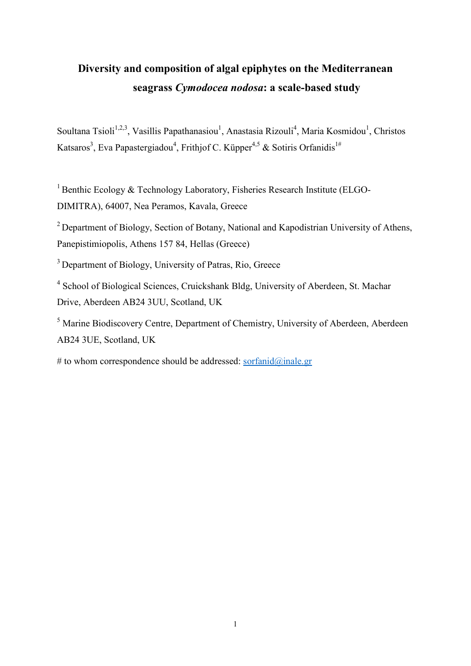# **Diversity and composition of algal epiphytes on the Mediterranean seagrass** *Cymodocea nodosa***: a scale-based study**

Soultana Tsioli<sup>1,2,3</sup>, Vasillis Papathanasiou<sup>1</sup>, Anastasia Rizouli<sup>4</sup>, Maria Kosmidou<sup>1</sup>, Christos Katsaros<sup>3</sup>, Eva Papastergiadou<sup>4</sup>, Frithjof C. Küpper<sup>4,5</sup> & Sotiris Orfanidis<sup>1#</sup>

<sup>1</sup> Benthic Ecology & Technology Laboratory, Fisheries Research Institute (ELGO-DIMITRA), 64007, Nea Peramos, Kavala, Greece

<sup>2</sup> Department of Biology, Section of Botany, National and Kapodistrian University of Athens, Panepistimiopolis, Athens 157 84, Hellas (Greece)

<sup>3</sup> Department of Biology, University of Patras, Rio, Greece

<sup>4</sup> School of Biological Sciences, Cruickshank Bldg, University of Aberdeen, St. Machar Drive, Aberdeen AB24 3UU, Scotland, UK

<sup>5</sup> Marine Biodiscovery Centre, Department of Chemistry, University of Aberdeen, Aberdeen AB24 3UE, Scotland, UK

# to whom correspondence should be addressed: [sorfanid@inale.gr](about:blank)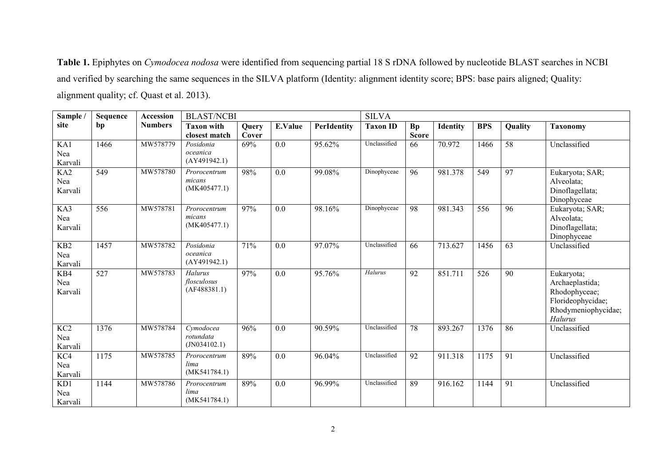**Table 1.** Epiphytes on *Cymodocea nodosa* were identified from sequencing partial 18 S rDNA followed by nucleotide BLAST searches in NCBI and verified by searching the same sequences in the SILVA platform (Identity: alignment identity score; BPS: base pairs aligned; Quality: alignment quality; cf. Quast et al. 2013).

| Sample /                           | Sequence          | Accession      | <b>BLAST/NCBI</b>                      |                |                  |             | <b>SILVA</b>    |                           |                 |                  |                 |                                                                                                       |
|------------------------------------|-------------------|----------------|----------------------------------------|----------------|------------------|-------------|-----------------|---------------------------|-----------------|------------------|-----------------|-------------------------------------------------------------------------------------------------------|
| site                               | bp                | <b>Numbers</b> | <b>Taxon with</b><br>closest match     | Query<br>Cover | E.Value          | PerIdentity | <b>Taxon ID</b> | <b>Bp</b><br><b>Score</b> | <b>Identity</b> | <b>BPS</b>       | Quality         | <b>Taxonomy</b>                                                                                       |
| KA1<br>Nea<br>Karvali              | 1466              | MW578779       | Posidonia<br>oceanica<br>(AY491942.1)  | 69%            | 0.0              | 95.62%      | Unclassified    | 66                        | 70.972          | 1466             | 58              | Unclassified                                                                                          |
| KA <sub>2</sub><br>Nea<br>Karvali  | 549               | MW578780       | Prorocentrum<br>micans<br>(MK405477.1) | 98%            | 0.0              | 99.08%      | Dinophyceae     | 96                        | 981.378         | $\overline{549}$ | $\overline{97}$ | Eukaryota; SAR;<br>Alveolata;<br>Dinoflagellata;<br>Dinophyceae                                       |
| KA3<br>Nea<br>Karvali              | 556               | MW578781       | Prorocentrum<br>micans<br>(MK405477.1) | 97%            | 0.0              | 98.16%      | Dinophyceae     | 98                        | 981.343         | 556              | $\overline{96}$ | Eukaryota; SAR;<br>Alveolata;<br>Dinoflagellata;<br>Dinophyceae                                       |
| KB <sub>2</sub><br>Nea<br>Karvali  | 1457              | MW578782       | Posidonia<br>oceanica<br>(AY491942.1)  | 71%            | 0.0              | 97.07%      | Unclassified    | 66                        | 713.627         | 1456             | 63              | Unclassified                                                                                          |
| KB4<br>Nea<br>Karvali              | $\overline{527}$  | MW578783       | Halurus<br>flosculosus<br>(AF488381.1) | 97%            | $\overline{0.0}$ | 95.76%      | Halurus         | $\overline{92}$           | 851.711         | 526              | $\overline{90}$ | Eukaryota;<br>Archaeplastida;<br>Rhodophyceae;<br>Florideophycidae;<br>Rhodymeniophycidae;<br>Halurus |
| $\overline{KC2}$<br>Nea<br>Karvali | 1376              | MW578784       | Cymodocea<br>rotundata<br>(JN034102.1) | 96%            | 0.0              | 90.59%      | Unclassified    | 78                        | 893.267         | 1376             | 86              | Unclassified                                                                                          |
| $\overline{KC4}$<br>Nea<br>Karvali | 1175              | MW578785       | Prorocentrum<br>lima<br>(MK541784.1)   | 89%            | 0.0              | 96.04%      | Unclassified    | 92                        | 911.318         | 1175             | 91              | Unclassified                                                                                          |
| KD1<br>Nea<br>Karvali              | $\overline{1}144$ | MW578786       | Prorocentrum<br>lima<br>(MK541784.1)   | 89%            | 0.0              | 96.99%      | Unclassified    | 89                        | 916.162         | 1144             | 91              | Unclassified                                                                                          |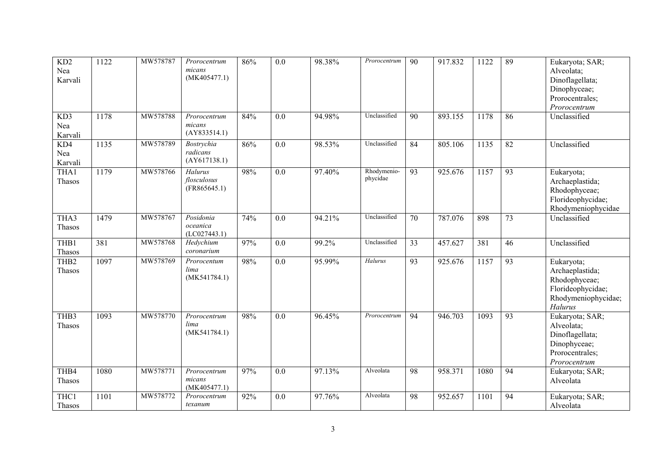| KD2<br>Nea<br>Karvali      | 1122 | MW578787 | Prorocentrum<br>micans<br>(MK405477.1) | 86% | $\overline{0.0}$ | 98.38% | Prorocentrum            | $\overline{90}$ | 917.832 | 1122 | 89              | Eukaryota; SAR;<br>Alveolata;<br>Dinoflagellata;<br>Dinophyceae;<br>Prorocentrales;<br>Prorocentrum          |
|----------------------------|------|----------|----------------------------------------|-----|------------------|--------|-------------------------|-----------------|---------|------|-----------------|--------------------------------------------------------------------------------------------------------------|
| KD3<br>Nea<br>Karvali      | 1178 | MW578788 | Prorocentrum<br>micans<br>(AY833514.1) | 84% | 0.0              | 94.98% | Unclassified            | 90              | 893.155 | 1178 | 86              | Unclassified                                                                                                 |
| KD4<br>Nea<br>Karvali      | 1135 | MW578789 | Bostrychia<br>radicans<br>(AY617138.1) | 86% | $\overline{0.0}$ | 98.53% | Unclassified            | $\overline{84}$ | 805.106 | 1135 | $\overline{82}$ | Unclassified                                                                                                 |
| THA1<br>Thasos             | 1179 | MW578766 | Halurus<br>flosculosus<br>(FR865645.1) | 98% | 0.0              | 97.40% | Rhodymenio-<br>phycidae | 93              | 925.676 | 1157 | 93              | Eukaryota;<br>Archaeplastida;<br>Rhodophyceae;<br>Florideophycidae;<br>Rhodymeniophycidae                    |
| THA3<br>Thasos             | 1479 | MW578767 | Posidonia<br>oceanica<br>(LCO27443.1)  | 74% | $\overline{0.0}$ | 94.21% | Unclassified            | $\overline{70}$ | 787.076 | 898  | $\overline{73}$ | Unclassified                                                                                                 |
| THB1<br>Thasos             | 381  | MW578768 | Hedychium<br>coronarium                | 97% | $\overline{0.0}$ | 99.2%  | Unclassified            | $\overline{33}$ | 457.627 | 381  | 46              | Unclassified                                                                                                 |
| THB <sub>2</sub><br>Thasos | 1097 | MW578769 | Prorocentum<br>lima<br>(MK541784.1)    | 98% | 0.0              | 95.99% | Halurus                 | 93              | 925.676 | 1157 | 93              | Eukaryota;<br>Archaeplastida;<br>Rhodophyceae;<br>Florideophycidae;<br>Rhodymeniophycidae;<br><b>Halurus</b> |
| THB <sub>3</sub><br>Thasos | 1093 | MW578770 | Prorocentrum<br>lima<br>(MK541784.1)   | 98% | $\overline{0.0}$ | 96.45% | Prorocentrum            | $\overline{94}$ | 946.703 | 1093 | 93              | Eukaryota; SAR;<br>Alveolata;<br>Dinoflagellata;<br>Dinophyceae;<br>Prorocentrales;<br>Prorocentrum          |
| THB4<br>Thasos             | 1080 | MW578771 | Prorocentrum<br>micans<br>(MK405477.1) | 97% | 0.0              | 97.13% | Alveolata               | 98              | 958.371 | 1080 | 94              | Eukaryota; SAR;<br>Alveolata                                                                                 |
| THC1<br>Thasos             | 1101 | MW578772 | Prorocentrum<br>texanum                | 92% | 0.0              | 97.76% | Alveolata               | 98              | 952.657 | 1101 | 94              | Eukaryota; SAR;<br>Alveolata                                                                                 |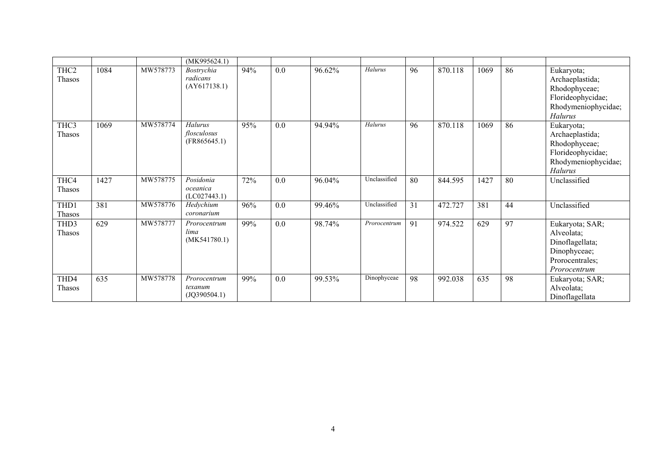|                            |      |          | (MK995624.1)                            |     |                  |        |                                    |    |         |      |    |                                                                                                              |
|----------------------------|------|----------|-----------------------------------------|-----|------------------|--------|------------------------------------|----|---------|------|----|--------------------------------------------------------------------------------------------------------------|
| THC <sub>2</sub><br>Thasos | 1084 | MW578773 | Bostrychia<br>radicans<br>(AY617138.1)  | 94% | 0.0              | 96.62% | Halurus                            | 96 | 870.118 | 1069 | 86 | Eukaryota;<br>Archaeplastida;<br>Rhodophyceae;<br>Florideophycidae;<br>Rhodymeniophycidae;<br>Halurus        |
| THC3<br>Thasos             | 1069 | MW578774 | Halurus<br>flosculosus<br>(FR865645.1)  | 95% | 0.0              | 94.94% | Halurus                            | 96 | 870.118 | 1069 | 86 | Eukaryota;<br>Archaeplastida;<br>Rhodophyceae;<br>Florideophycidae;<br>Rhodymeniophycidae;<br><b>Halurus</b> |
| THC4<br>Thasos             | 1427 | MW578775 | Posidonia<br>oceanica<br>(LCO27443.1)   | 72% | 0.0              | 96.04% | Unclassified                       | 80 | 844.595 | 1427 | 80 | Unclassified                                                                                                 |
| THD1<br>Thasos             | 381  | MW578776 | Hedychium<br>coronarium                 | 96% | $\overline{0.0}$ | 99.46% | Unclassified                       | 31 | 472.727 | 381  | 44 | Unclassified                                                                                                 |
| THD3<br>Thasos             | 629  | MW578777 | Prorocentrum<br>lima<br>(MK541780.1)    | 99% | 0.0              | 98.74% | $\overline{\mathit{Prococentrum}}$ | 91 | 974.522 | 629  | 97 | Eukaryota; SAR;<br>Alveolata;<br>Dinoflagellata;<br>Dinophyceae;<br>Prorocentrales;<br>Prorocentrum          |
| THD4<br>Thasos             | 635  | MW578778 | Prorocentrum<br>texanum<br>(JQ390504.1) | 99% | 0.0              | 99.53% | Dinophyceae                        | 98 | 992.038 | 635  | 98 | Eukaryota; SAR;<br>Alveolata;<br>Dinoflagellata                                                              |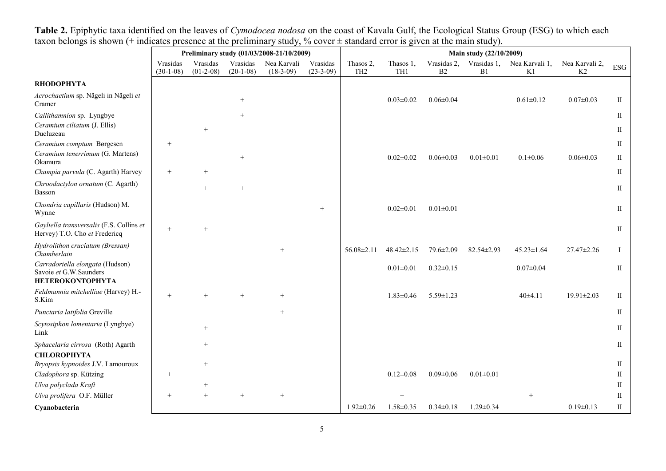|                                                                                      | Preliminary study (01/03/2008-21/10/2009) |                         |                         |                            |                         | Main study (22/10/2009)      |                  |                   |                   |                      |                      |                   |
|--------------------------------------------------------------------------------------|-------------------------------------------|-------------------------|-------------------------|----------------------------|-------------------------|------------------------------|------------------|-------------------|-------------------|----------------------|----------------------|-------------------|
|                                                                                      | Vrasidas<br>$(30-1-08)$                   | Vrasidas<br>$(01-2-08)$ | Vrasidas<br>$(20-1-08)$ | Nea Karvali<br>$(18-3-09)$ | Vrasidas<br>$(23-3-09)$ | Thasos 2,<br>TH <sub>2</sub> | Thasos 1,<br>TH1 | Vrasidas 2,<br>B2 | Vrasidas 1,<br>B1 | Nea Karvali 1,<br>K1 | Nea Karvali 2,<br>K2 | <b>ESG</b>        |
| <b>RHODOPHYTA</b>                                                                    |                                           |                         |                         |                            |                         |                              |                  |                   |                   |                      |                      |                   |
| Acrochaetium sp. Nägeli in Nägeli et<br>Cramer                                       |                                           |                         | $^{+}$                  |                            |                         |                              | $0.03 \pm 0.02$  | $0.06 \pm 0.04$   |                   | $0.61 \pm 0.12$      | $0.07 \pm 0.03$      | $\mathbf{I}$      |
| Callithamnion sp. Lyngbye<br>Ceramium ciliatum (J. Ellis)<br>Ducluzeau               |                                           | $^{+}$                  | $^{+}$                  |                            |                         |                              |                  |                   |                   |                      |                      | $\mathbf{I}$<br>П |
| Ceramium comptum Børgesen                                                            | $^{+}$                                    |                         |                         |                            |                         |                              |                  |                   |                   |                      |                      | П                 |
| Ceramium tenerrimum (G. Martens)<br>Okamura                                          |                                           |                         | $^{+}$                  |                            |                         |                              | $0.02 \pm 0.02$  | $0.06 \pm 0.03$   | $0.01 \pm 0.01$   | $0.1 + 0.06$         | $0.06 \pm 0.03$      | П                 |
| Champia parvula (C. Agarth) Harvey                                                   | $^{+}$                                    | $^{+}$                  |                         |                            |                         |                              |                  |                   |                   |                      |                      | П                 |
| Chroodactylon ornatum (C. Agarth)<br>Basson                                          |                                           | $^{+}$                  | $^{+}$                  |                            |                         |                              |                  |                   |                   |                      |                      | П                 |
| Chondria capillaris (Hudson) M.<br>Wynne                                             |                                           |                         |                         |                            | $+$                     |                              | $0.02 \pm 0.01$  | $0.01 \pm 0.01$   |                   |                      |                      | $\mathbf{I}$      |
| Gayliella transversalis (F.S. Collins et<br>Hervey) T.O. Cho et Fredericq            |                                           |                         |                         |                            |                         |                              |                  |                   |                   |                      |                      | П                 |
| Hydrolithon cruciatum (Bressan)<br>Chamberlain                                       |                                           |                         |                         | $^{+}$                     |                         | $56.08 \pm 2.11$             | $48.42 \pm 2.15$ | 79.6±2.09         | 82.54±2.93        | $45.23 \pm 1.64$     | $27.47 \pm 2.26$     | L                 |
| Carradoriella elongata (Hudson)<br>Savoie et G.W.Saunders<br><b>HETEROKONTOPHYTA</b> |                                           |                         |                         |                            |                         |                              | $0.01 \pm 0.01$  | $0.32 \pm 0.15$   |                   | $0.07 \pm 0.04$      |                      | $\rm II$          |
| Feldmannia mitchelliae (Harvey) H.-<br>S.Kim                                         | $+$                                       | $\ddot{}$               |                         |                            |                         |                              | $1.83 \pm 0.46$  | $5.59 \pm 1.23$   |                   | $40+4.11$            | $19.91 \pm 2.03$     | П                 |
| Punctaria latifolia Greville                                                         |                                           |                         |                         | $^{+}$                     |                         |                              |                  |                   |                   |                      |                      | П                 |
| Scytosiphon lomentaria (Lyngbye)<br>Link                                             |                                           | $\overline{+}$          |                         |                            |                         |                              |                  |                   |                   |                      |                      | П                 |
| Sphacelaria cirrosa (Roth) Agarth                                                    |                                           |                         |                         |                            |                         |                              |                  |                   |                   |                      |                      | П                 |
| <b>CHLOROPHYTA</b><br>Bryopsis hypnoides J.V. Lamouroux                              |                                           | $^{+}$                  |                         |                            |                         |                              |                  |                   |                   |                      |                      | П                 |
| Cladophora sp. Kützing                                                               | $^{+}$                                    |                         |                         |                            |                         |                              | $0.12 \pm 0.08$  | $0.09 \pm 0.06$   | $0.01 \pm 0.01$   |                      |                      | П                 |
| Ulva polyclada Kraft                                                                 |                                           | $^{+}$                  |                         |                            |                         |                              |                  |                   |                   |                      |                      | П                 |
| Ulva prolifera O.F. Müller                                                           | $^{+}$                                    | $^{+}$                  | $^{+}$                  | $^{+}$                     |                         |                              | $^{+}$           |                   |                   | $^{+}$               |                      | П                 |
| Cyanobacteria                                                                        |                                           |                         |                         |                            |                         | $1.92 \pm 0.26$              | $1.58 \pm 0.35$  | $0.34 \pm 0.18$   | $1.29 \pm 0.34$   |                      | $0.19 \pm 0.13$      | П                 |

**Table 2.** Epiphytic taxa identified on the leaves of *Cymodocea nodosa* on the coast of Kavala Gulf, the Ecological Status Group (ESG) to which each taxon belongs is shown (+ indicates presence at the preliminary study,  $%$  cover  $\pm$  standard error is given at the main study).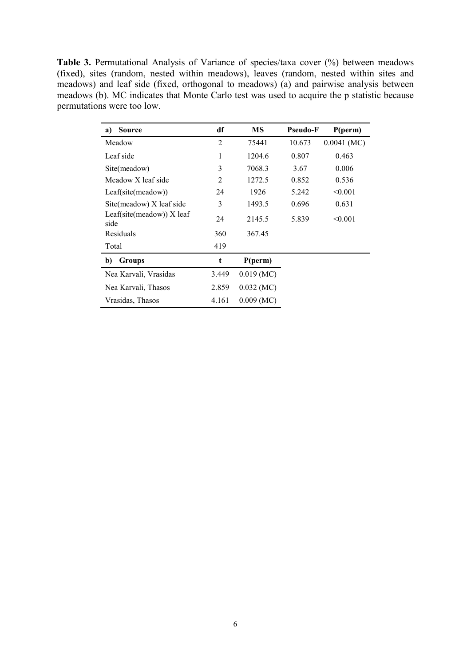Table 3. Permutational Analysis of Variance of species/taxa cover (%) between meadows (fixed), sites (random, nested within meadows), leaves (random, nested within sites and meadows) and leaf side (fixed, orthogonal to meadows) (a) and pairwise analysis between meadows (b). MC indicates that Monte Carlo test was used to acquire the p statistic because permutations were too low.

| <b>Source</b><br>a)                 | df             | МS           | <b>Pseudo-F</b> | P(perm)       |
|-------------------------------------|----------------|--------------|-----------------|---------------|
| Meadow                              | $\overline{2}$ | 75441        | 10.673          | $0.0041$ (MC) |
| Leaf side                           | 1              | 1204.6       | 0.807           | 0.463         |
| Site(meadow)                        | 3              | 7068.3       | 3.67            | 0.006         |
| Meadow X leaf side                  | 2              | 1272.5       | 0.852           | 0.536         |
| Leaf(site(meadow))                  | 24             | 1926         | 5.242           | < 0.001       |
| Site(meadow) X leaf side            | 3              | 1493.5       | 0.696           | 0.631         |
| Leaf(site(meadow)) $X$ leaf<br>side | 24             | 2145.5       | 5.839           | < 0.001       |
| Residuals                           | 360            | 367.45       |                 |               |
| Total                               | 419            |              |                 |               |
| b)<br>Groups                        | t              | P(perm)      |                 |               |
| Nea Karvali, Vrasidas               | 3.449          | $0.019$ (MC) |                 |               |
| Nea Karvali, Thasos                 | 2.859          | $0.032$ (MC) |                 |               |
| Vrasidas, Thasos                    | 4.161          | $0.009$ (MC) |                 |               |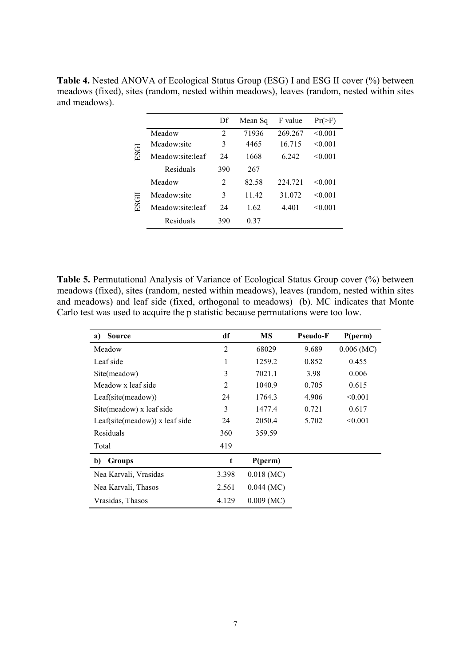|       |                  | Df             | Mean Sq | F value | $Pr(>\)$ |
|-------|------------------|----------------|---------|---------|----------|
|       | Meadow           | $\overline{2}$ | 71936   | 269.267 | < 0.001  |
| ESGI  | Meadow:site      | 3              | 4465    | 16.715  | < 0.001  |
|       | Meadow site leaf | 24             | 1668    | 6.242   | < 0.001  |
|       | Residuals        | 390            | 267     |         |          |
| ESGII | Meadow           | $\mathfrak{D}$ | 82.58   | 224.721 | < 0.001  |
|       | Meadow:site      | 3              | 11.42   | 31.072  | < 0.001  |
|       | Meadow:site:leaf | 24             | 1.62    | 4.401   | < 0.001  |
|       | Residuals        | 390            | 0.37    |         |          |

**Table 4.** Nested ANOVA of Ecological Status Group (ESG) I and ESG II cover (%) between meadows (fixed), sites (random, nested within meadows), leaves (random, nested within sites and meadows).

**Table 5.** Permutational Analysis of Variance of Ecological Status Group cover (%) between meadows (fixed), sites (random, nested within meadows), leaves (random, nested within sites and meadows) and leaf side (fixed, orthogonal to meadows) (b). MC indicates that Monte Carlo test was used to acquire the p statistic because permutations were too low.

| <b>Source</b><br>a)                            | df             | MS           | <b>Pseudo-F</b> | P(perm)      |
|------------------------------------------------|----------------|--------------|-----------------|--------------|
| Meadow                                         | $\overline{2}$ | 68029        | 9.689           | $0.006$ (MC) |
| Leaf side                                      | 1              | 1259.2       | 0.852           | 0.455        |
| Site(meadow)                                   | 3              | 7021.1       | 3.98            | 0.006        |
| Meadow x leaf side                             | $\overline{2}$ | 1040.9       | 0.705           | 0.615        |
| Leaf(site(meadow))                             | 24             | 1764.3       | 4.906           | < 0.001      |
| Site(meadow) x leaf side                       | 3              | 1477.4       | 0.721           | 0.617        |
| $Leaf(\text{site}(\text{meadow}))$ x leaf side | 24             | 2050.4       | 5.702           | < 0.001      |
| Residuals                                      | 360            | 359.59       |                 |              |
| Total                                          | 419            |              |                 |              |
| b)<br>Groups                                   | t              | P(perm)      |                 |              |
| Nea Karvali, Vrasidas                          | 3.398          | $0.018$ (MC) |                 |              |
| Nea Karvali, Thasos                            | 2.561          | $0.044$ (MC) |                 |              |
| Vrasidas, Thasos                               | 4.129          | $0.009$ (MC) |                 |              |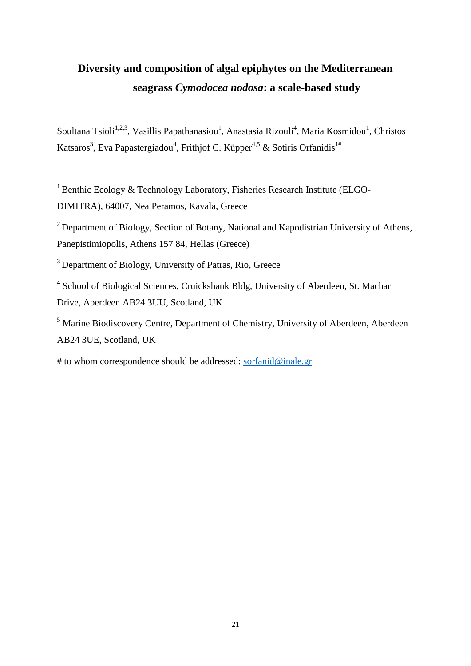# **Diversity and composition of algal epiphytes on the Mediterranean seagrass** *Cymodocea nodosa***: a scale-based study**

Soultana Tsioli<sup>1,2,3</sup>, Vasillis Papathanasiou<sup>1</sup>, Anastasia Rizouli<sup>4</sup>, Maria Kosmidou<sup>1</sup>, Christos Katsaros<sup>3</sup>, Eva Papastergiadou<sup>4</sup>, Frithjof C. Küpper<sup>4,5</sup> & Sotiris Orfanidis<sup>1#</sup>

<sup>1</sup> Benthic Ecology & Technology Laboratory, Fisheries Research Institute (ELGO-DIMITRA), 64007, Nea Peramos, Kavala, Greece

<sup>2</sup> Department of Biology, Section of Botany, National and Kapodistrian University of Athens, Panepistimiopolis, Athens 157 84, Hellas (Greece)

<sup>3</sup> Department of Biology, University of Patras, Rio, Greece

<sup>4</sup> School of Biological Sciences, Cruickshank Bldg, University of Aberdeen, St. Machar Drive, Aberdeen AB24 3UU, Scotland, UK

<sup>5</sup> Marine Biodiscovery Centre, Department of Chemistry, University of Aberdeen, Aberdeen AB24 3UE, Scotland, UK

# to whom correspondence should be addressed: [sorfanid@inale.gr](about:blank)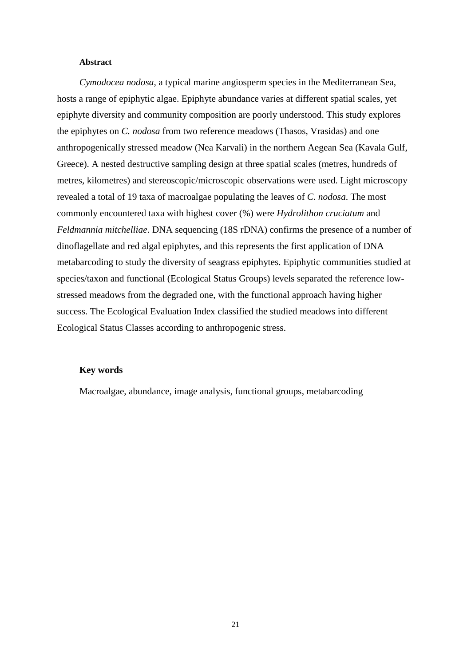#### **Abstract**

*Cymodocea nodosa*, a typical marine angiosperm species in the Mediterranean Sea, hosts a range of epiphytic algae. Epiphyte abundance varies at different spatial scales, yet epiphyte diversity and community composition are poorly understood. This study explores the epiphytes on *C. nodosa* from two reference meadows (Thasos, Vrasidas) and one anthropogenically stressed meadow (Nea Karvali) in the northern Aegean Sea (Kavala Gulf, Greece). A nested destructive sampling design at three spatial scales (metres, hundreds of metres, kilometres) and stereoscopic/microscopic observations were used. Light microscopy revealed a total of 19 taxa of macroalgae populating the leaves of *C. nodosa*. The most commonly encountered taxa with highest cover (%) were *Hydrolithon cruciatum* and *Feldmannia mitchelliae*. DNA sequencing (18S rDNA) confirms the presence of a number of dinoflagellate and red algal epiphytes, and this represents the first application of DNA metabarcoding to study the diversity of seagrass epiphytes. Epiphytic communities studied at species/taxon and functional (Ecological Status Groups) levels separated the reference lowstressed meadows from the degraded one, with the functional approach having higher success. The Ecological Evaluation Index classified the studied meadows into different Ecological Status Classes according to anthropogenic stress.

#### **Key words**

Macroalgae, abundance, image analysis, functional groups, metabarcoding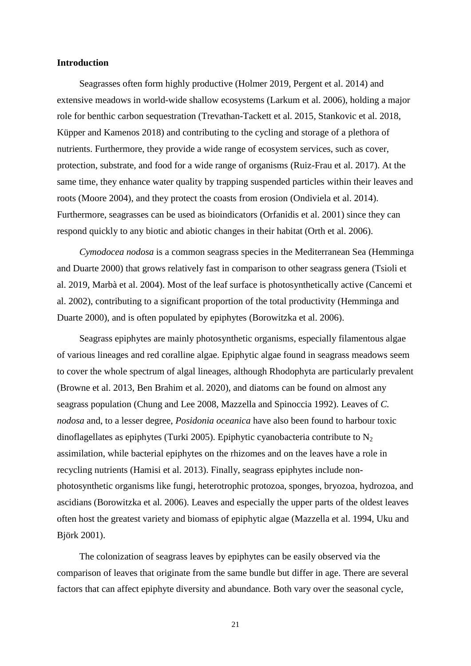#### **Introduction**

Seagrasses often form highly productive [\(Holmer 2019,](#page-26-0) [Pergent et al. 2014\)](#page-29-0) and extensive meadows in world-wide shallow ecosystems [\(Larkum et al. 2006\)](#page-27-0), holding a major role for benthic carbon sequestration [\(Trevathan-Tackett et al. 2015,](#page-30-0) [Stankovic et al. 2018,](#page-30-1) [Küpper and Kamenos 2018\)](#page-27-1) and contributing to the cycling and storage of a plethora of nutrients. Furthermore, they provide a wide range of ecosystem services, such as cover, protection, substrate, and food for a wide range of organisms [\(Ruiz-Frau et al. 2017\)](#page-30-2). At the same time, they enhance water quality by trapping suspended particles within their leaves and roots [\(Moore 2004\)](#page-28-0), and they protect the coasts from erosion [\(Ondiviela et al. 2014\)](#page-28-1). Furthermore, seagrasses can be used as bioindicators [\(Orfanidis et al. 2001\)](#page-28-2) since they can respond quickly to any biotic and abiotic changes in their habitat [\(Orth et al. 2006\)](#page-28-3).

*Cymodocea nodosa* is a common seagrass species in the Mediterranean Sea [\(Hemminga](#page-26-1)  [and Duarte 2000\)](#page-26-1) that grows relatively fast in comparison to other seagrass genera [\(Tsioli et](#page-30-3)  [al. 2019,](#page-30-3) [Marbà et al. 2004\)](#page-27-2). Most of the leaf surface is photosynthetically active [\(Cancemi et](#page-25-0)  [al. 2002\)](#page-25-0), contributing to a significant proportion of the total productivity [\(Hemminga and](#page-26-1)  [Duarte 2000\)](#page-26-1), and is often populated by epiphytes [\(Borowitzka et al. 2006\)](#page-24-0).

Seagrass epiphytes are mainly photosynthetic organisms, especially filamentous algae of various lineages and red coralline algae. Epiphytic algae found in seagrass meadows seem to cover the whole spectrum of algal lineages, although Rhodophyta are particularly prevalent [\(Browne et al. 2013,](#page-24-1) [Ben Brahim et al. 2020\)](#page-24-2), and diatoms can be found on almost any seagrass population [\(Chung and Lee 2008,](#page-25-1) [Mazzella and Spinoccia 1992\)](#page-28-4). Leaves of *C. nodosa* and, to a lesser degree, *Posidonia oceanica* have also been found to harbour toxic dinoflagellates as epiphytes [\(Turki 2005\)](#page-30-4). Epiphytic cyanobacteria contribute to  $N_2$ assimilation, while bacterial epiphytes on the rhizomes and on the leaves have a role in recycling nutrients [\(Hamisi et al. 2013\)](#page-26-2). Finally, seagrass epiphytes include nonphotosynthetic organisms like fungi, heterotrophic protozoa, sponges, bryozoa, hydrozoa, and ascidians [\(Borowitzka et al. 2006\)](#page-24-0). Leaves and especially the upper parts of the oldest leaves often host the greatest variety and biomass of epiphytic algae [\(Mazzella et al. 1994,](#page-28-5) [Uku and](#page-30-5)  [Björk 2001\)](#page-30-5).

The colonization of seagrass leaves by epiphytes can be easily observed via the comparison of leaves that originate from the same bundle but differ in age. There are several factors that can affect epiphyte diversity and abundance. Both vary over the seasonal cycle,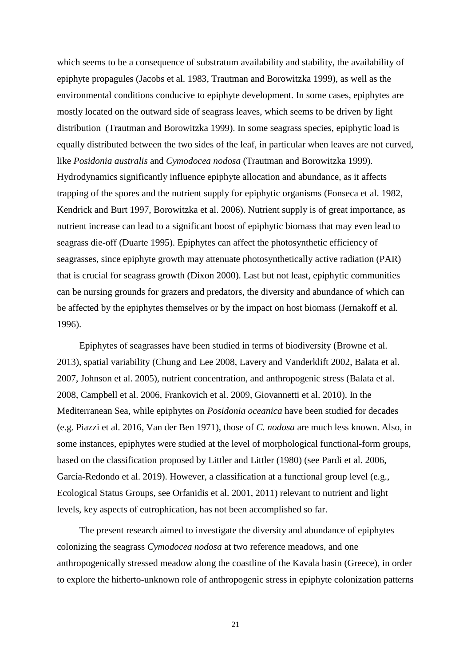which seems to be a consequence of substratum availability and stability, the availability of epiphyte propagules [\(Jacobs et al. 1983,](#page-26-3) [Trautman and Borowitzka 1999\)](#page-30-6), as well as the environmental conditions conducive to epiphyte development. In some cases, epiphytes are mostly located on the outward side of seagrass leaves, which seems to be driven by light distribution [\(Trautman and Borowitzka 1999\)](#page-30-6). In some seagrass species, epiphytic load is equally distributed between the two sides of the leaf, in particular when leaves are not curved, like *Posidonia australis* and *Cymodocea nodosa* [\(Trautman and Borowitzka 1999\)](#page-30-6). Hydrodynamics significantly influence epiphyte allocation and abundance, as it affects trapping of the spores and the nutrient supply for epiphytic organisms [\(Fonseca et al. 1982,](#page-25-2) [Kendrick and Burt 1997,](#page-27-3) [Borowitzka et al. 2006\)](#page-24-0). Nutrient supply is of great importance, as nutrient increase can lead to a significant boost of epiphytic biomass that may even lead to seagrass die-off [\(Duarte 1995\)](#page-25-3). Epiphytes can affect the photosynthetic efficiency of seagrasses, since epiphyte growth may attenuate photosynthetically active radiation (PAR) that is crucial for seagrass growth [\(Dixon 2000\)](#page-25-4). Last but not least, epiphytic communities can be nursing grounds for grazers and predators, the diversity and abundance of which can be affected by the epiphytes themselves or by the impact on host biomass [\(Jernakoff et al.](#page-26-4)  [1996\)](#page-26-4).

Epiphytes of seagrasses have been studied in terms of biodiversity [\(Browne et al.](#page-24-1)  [2013\)](#page-24-1), spatial variability [\(Chung and Lee 2008,](#page-25-1) [Lavery and Vanderklift 2002,](#page-27-4) [Balata et al.](#page-24-3)  [2007,](#page-24-3) [Johnson et al. 2005\)](#page-27-5), nutrient concentration, and anthropogenic stress [\(Balata et al.](#page-24-4)  [2008,](#page-24-4) [Campbell et al. 2006,](#page-25-5) [Frankovich et al. 2009,](#page-25-6) [Giovannetti et al. 2010\)](#page-26-5). In the Mediterranean Sea, while epiphytes on *Posidonia oceanica* have been studied for decades (e.g. [Piazzi et al. 2016,](#page-29-1) [Van der Ben 1971\)](#page-31-0), those of *C. nodosa* are much less known. Also, in some instances, epiphytes were studied at the level of morphological functional-form groups, based on the classification proposed by [Littler and Littler \(1980\)](#page-27-6) (see [Pardi et al. 2006,](#page-29-2) [García-Redondo et al. 2019\)](#page-26-6). However, a classification at a functional group level [\(e.g.,](#page-28-2)  [Ecological Status Groups, see Orfanidis et al. 2001, 2011\)](#page-28-2) relevant to nutrient and light levels, key aspects of eutrophication, has not been accomplished so far.

The present research aimed to investigate the diversity and abundance of epiphytes colonizing the seagrass *Cymodocea nodosa* at two reference meadows, and one anthropogenically stressed meadow along the coastline of the Kavala basin (Greece), in order to explore the hitherto-unknown role of anthropogenic stress in epiphyte colonization patterns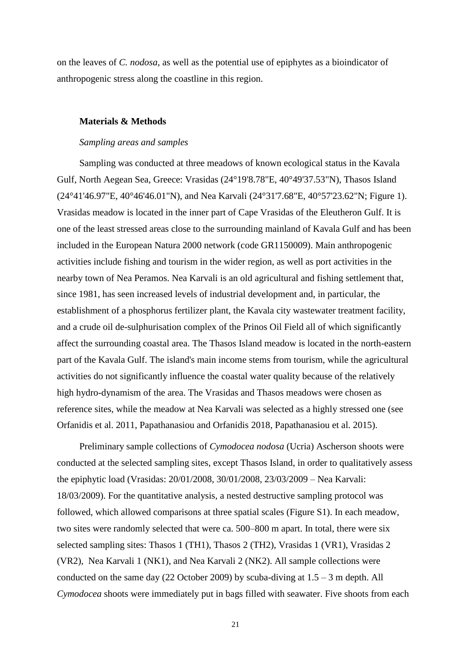on the leaves of *C. nodosa*, as well as the potential use of epiphytes as a bioindicator of anthropogenic stress along the coastline in this region.

#### **Materials & Methods**

#### *Sampling areas and samples*

Sampling was conducted at three meadows of known ecological status in the Kavala Gulf, North Aegean Sea, Greece: Vrasidas (24°19'8.78"E, 40°49'37.53"N), Thasos Island (24°41'46.97"E, 40°46'46.01"N), and Nea Karvali (24°31'7.68"E, 40°57'23.62"N; Figure 1). Vrasidas meadow is located in the inner part of Cape Vrasidas of the Eleutheron Gulf. It is one of the least stressed areas close to the surrounding mainland of Kavala Gulf and has been included in the European Natura 2000 network (code GR1150009). Main anthropogenic activities include fishing and tourism in the wider region, as well as port activities in the nearby town of Nea Peramos. Nea Karvali is an old agricultural and fishing settlement that, since 1981, has seen increased levels of industrial development and, in particular, the establishment of a phosphorus fertilizer plant, the Kavala city wastewater treatment facility, and a crude oil de-sulphurisation complex of the Prinos Oil Field all of which significantly affect the surrounding coastal area. The Thasos Island meadow is located in the north-eastern part of the Kavala Gulf. The island's main income stems from tourism, while the agricultural activities do not significantly influence the coastal water quality because of the relatively high hydro-dynamism of the area. The Vrasidas and Thasos meadows were chosen as reference sites, while the meadow at Nea Karvali was selected as a highly stressed one (see [Orfanidis et al. 2011,](#page-28-6) [Papathanasiou and Orfanidis 2018,](#page-29-3) [Papathanasiou et al. 2015\)](#page-29-4).

Preliminary sample collections of *Cymodocea nodosa* (Ucria) Ascherson shoots were conducted at the selected sampling sites, except Thasos Island, in order to qualitatively assess the epiphytic load (Vrasidas: 20/01/2008, 30/01/2008, 23/03/2009 – Nea Karvali: 18/03/2009). For the quantitative analysis, a nested destructive sampling protocol was followed, which allowed comparisons at three spatial scales (Figure S1). In each meadow, two sites were randomly selected that were ca. 500–800 m apart. In total, there were six selected sampling sites: Thasos 1 (TH1), Thasos 2 (TH2), Vrasidas 1 (VR1), Vrasidas 2 (VR2), Nea Karvali 1 (NK1), and Nea Karvali 2 (NK2). All sample collections were conducted on the same day (22 October 2009) by scuba-diving at  $1.5 - 3$  m depth. All *Cymodocea* shoots were immediately put in bags filled with seawater. Five shoots from each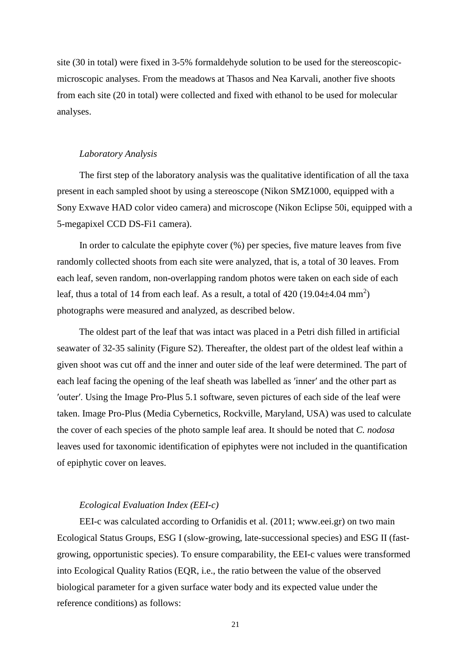site (30 in total) were fixed in 3-5% formaldehyde solution to be used for the stereoscopicmicroscopic analyses. From the meadows at Thasos and Nea Karvali, another five shoots from each site (20 in total) were collected and fixed with ethanol to be used for molecular analyses.

#### *Laboratory Analysis*

The first step of the laboratory analysis was the qualitative identification of all the taxa present in each sampled shoot by using a stereoscope (Nikon SMZ1000, equipped with a Sony Exwave HAD color video camera) and microscope (Nikon Eclipse 50i, equipped with a 5-megapixel CCD DS-Fi1 camera).

In order to calculate the epiphyte cover (%) per species, five mature leaves from five randomly collected shoots from each site were analyzed, that is, a total of 30 leaves. From each leaf, seven random, non-overlapping random photos were taken on each side of each leaf, thus a total of 14 from each leaf. As a result, a total of 420  $(19.04 \pm 4.04 \text{ mm}^2)$ photographs were measured and analyzed, as described below.

The oldest part of the leaf that was intact was placed in a Petri dish filled in artificial seawater of 32-35 salinity (Figure S2). Thereafter, the oldest part of the oldest leaf within a given shoot was cut off and the inner and outer side of the leaf were determined. The part of each leaf facing the opening of the leaf sheath was labelled as ′inner′ and the other part as ′outer′. Using the Image Pro-Plus 5.1 software, seven pictures of each side of the leaf were taken. Image Pro-Plus (Media Cybernetics, Rockville, Maryland, USA) was used to calculate the cover of each species of the photo sample leaf area. It should be noted that *C. nodosa* leaves used for taxonomic identification of epiphytes were not included in the quantification of epiphytic cover on leaves.

#### *Ecological Evaluation Index (EEI-c)*

EEI-c was calculated according to [Orfanidis et al. \(2011; www.eei.gr\)](#page-28-6) on two main Ecological Status Groups, ESG I (slow-growing, late-successional species) and ESG II (fastgrowing, opportunistic species). To ensure comparability, the EEI-c values were transformed into Ecological Quality Ratios (EQR, i.e., the ratio between the value of the observed biological parameter for a given surface water body and its expected value under the reference conditions) as follows: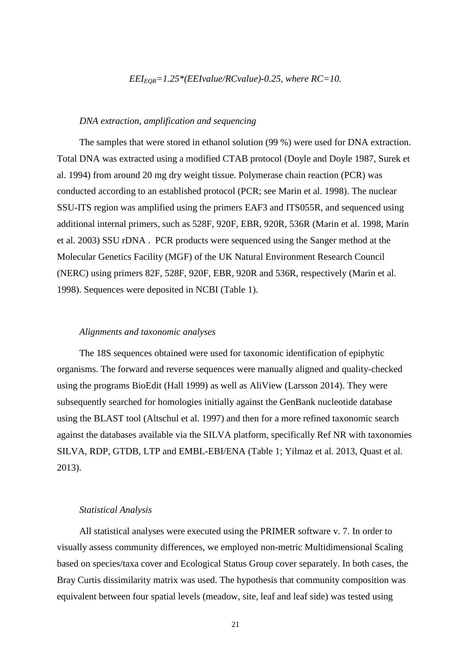#### $EEL_{EOR} = 1.25*(EElvalue/RCvalue) - 0.25$ , where  $RC = 10$ .

#### *DNA extraction, amplification and sequencing*

The samples that were stored in ethanol solution (99 %) were used for DNA extraction. Total DNA was extracted using a modified CTAB protocol [\(Doyle and Doyle 1987,](#page-25-7) [Surek et](#page-30-7)  [al. 1994\)](#page-30-7) from around 20 mg dry weight tissue. Polymerase chain reaction (PCR) was conducted according to an established protocol [\(PCR; see Marin et al. 1998\)](#page-27-7). The nuclear SSU-ITS region was amplified using the primers EAF3 and ITS055R, and sequenced using additional internal primers, such as 528F, 920F, EBR, 920R, 536R [\(Marin et al. 1998,](#page-27-7) [Marin](#page-27-8)  [et al. 2003\)](#page-27-8) SSU rDNA . PCR products were sequenced using the Sanger method at the Molecular Genetics Facility (MGF) of the UK Natural Environment Research Council (NERC) using primers 82F, 528F, 920F, EBR, 920R and 536R, respectively [\(Marin et al.](#page-27-7)  [1998\)](#page-27-7). Sequences were deposited in NCBI (Table 1).

#### *Alignments and taxonomic analyses*

The 18S sequences obtained were used for taxonomic identification of epiphytic organisms. The forward and reverse sequences were manually aligned and quality-checked using the programs BioEdit [\(Hall 1999\)](#page-26-7) as well as AliView [\(Larsson 2014\)](#page-27-9). They were subsequently searched for homologies initially against the GenBank nucleotide database using the BLAST tool [\(Altschul et al. 1997\)](#page-23-0) and then for a more refined taxonomic search against the databases available via the SILVA platform, specifically Ref NR with taxonomies SILVA, RDP, GTDB, LTP and EMBL-EBI/ENA (Table 1; [Yilmaz et al. 2013,](#page-31-1) [Quast et al.](#page-29-5)  [2013\)](#page-29-5).

#### *Statistical Analysis*

All statistical analyses were executed using the PRIMER software v. 7. In order to visually assess community differences, we employed non-metric Multidimensional Scaling based on species/taxa cover and Ecological Status Group cover separately. In both cases, the Bray Curtis dissimilarity matrix was used. The hypothesis that community composition was equivalent between four spatial levels (meadow, site, leaf and leaf side) was tested using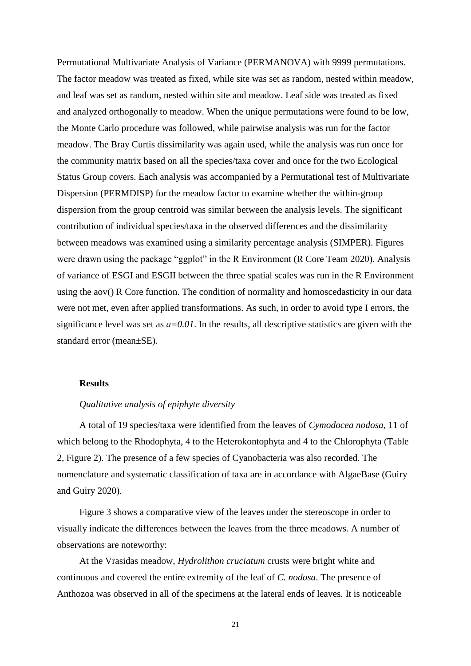Permutational Multivariate Analysis of Variance (PERMANOVA) with 9999 permutations. The factor meadow was treated as fixed, while site was set as random, nested within meadow, and leaf was set as random, nested within site and meadow. Leaf side was treated as fixed and analyzed orthogonally to meadow. When the unique permutations were found to be low, the Monte Carlo procedure was followed, while pairwise analysis was run for the factor meadow. The Bray Curtis dissimilarity was again used, while the analysis was run once for the community matrix based on all the species/taxa cover and once for the two Ecological Status Group covers. Each analysis was accompanied by a Permutational test of Multivariate Dispersion (PERMDISP) for the meadow factor to examine whether the within-group dispersion from the group centroid was similar between the analysis levels. The significant contribution of individual species/taxa in the observed differences and the dissimilarity between meadows was examined using a similarity percentage analysis (SIMPER). Figures were drawn using the package "ggplot" in the R Environment [\(R Core Team 2020\)](#page-29-6). Analysis of variance of ESGI and ESGII between the three spatial scales was run in the R Environment using the aov() R Core function. The condition of normality and homoscedasticity in our data were not met, even after applied transformations. As such, in order to avoid type I errors, the significance level was set as  $a=0.01$ . In the results, all descriptive statistics are given with the standard error (mean±SE).

#### **Results**

#### *Qualitative analysis of epiphyte diversity*

A total of 19 species/taxa were identified from the leaves of *Cymodocea nodosa*, 11 of which belong to the Rhodophyta, 4 to the Heterokontophyta and 4 to the Chlorophyta (Table 2, Figure 2). The presence of a few species of Cyanobacteria was also recorded. The nomenclature and systematic classification of taxa are in accordance with AlgaeBase [\(Guiry](#page-26-8)  [and Guiry 2020\)](#page-26-8).

Figure 3 shows a comparative view of the leaves under the stereoscope in order to visually indicate the differences between the leaves from the three meadows. A number of observations are noteworthy:

At the Vrasidas meadow, *Hydrolithon cruciatum* crusts were bright white and continuous and covered the entire extremity of the leaf of *C. nodosa*. The presence of Anthozoa was observed in all of the specimens at the lateral ends of leaves. It is noticeable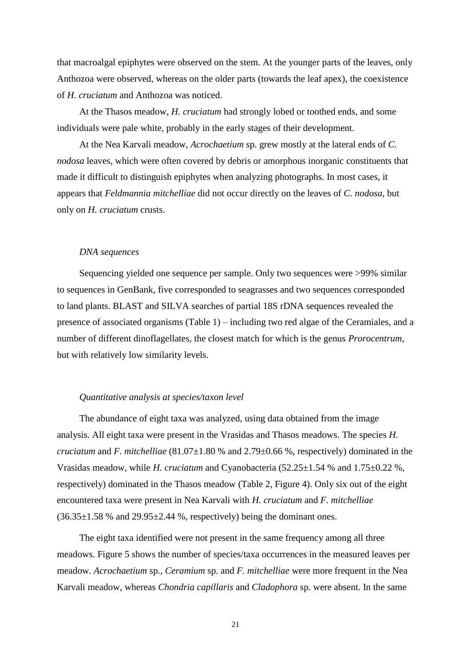that macroalgal epiphytes were observed on the stem. At the younger parts of the leaves, only Anthozoa were observed, whereas on the older parts (towards the leaf apex), the coexistence of *H. cruciatum* and Anthozoa was noticed.

At the Thasos meadow, *H. cruciatum* had strongly lobed or toothed ends, and some individuals were pale white, probably in the early stages of their development.

At the Nea Karvali meadow, *Acrochaetium* sp. grew mostly at the lateral ends of *C. nodosa* leaves, which were often covered by debris or amorphous inorganic constituents that made it difficult to distinguish epiphytes when analyzing photographs. In most cases, it appears that *Feldmannia mitchelliae* did not occur directly on the leaves of *C. nodosa*, but only on *H. cruciatum* crusts.

#### *DNA sequences*

Sequencing yielded one sequence per sample. Only two sequences were >99% similar to sequences in GenBank, five corresponded to seagrasses and two sequences corresponded to land plants. BLAST and SILVA searches of partial 18S rDNA sequences revealed the presence of associated organisms (Table 1) – including two red algae of the Ceramiales, and a number of different dinoflagellates, the closest match for which is the genus *Prorocentrum*, but with relatively low similarity levels.

#### *Quantitative analysis at species/taxon level*

The abundance of eight taxa was analyzed, using data obtained from the image analysis. All eight taxa were present in the Vrasidas and Thasos meadows. The species *H. cruciatum* and *F. mitchelliae* (81.07±1.80 % and 2.79±0.66 %, respectively) dominated in the Vrasidas meadow, while *H. cruciatum* and Cyanobacteria (52.25±1.54 % and 1.75±0.22 %, respectively) dominated in the Thasos meadow (Table 2, Figure 4). Only six out of the eight encountered taxa were present in Nea Karvali with *H. cruciatum* and *F. mitchelliae*  $(36.35\pm1.58$  % and  $29.95\pm2.44$  %, respectively) being the dominant ones.

The eight taxa identified were not present in the same frequency among all three meadows. Figure 5 shows the number of species/taxa occurrences in the measured leaves per meadow. *Acrochaetium* sp*.*, *Ceramium* sp. and *F. mitchelliae* were more frequent in the Nea Karvali meadow, whereas *Chondria capillaris* and *Cladophora* sp*.* were absent. In the same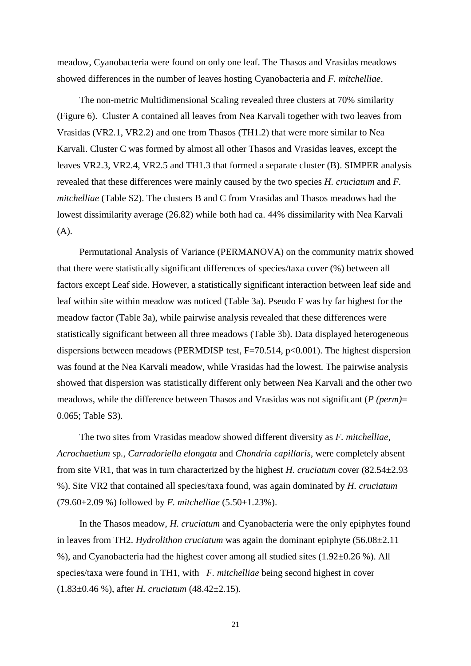meadow, Cyanobacteria were found on only one leaf. The Thasos and Vrasidas meadows showed differences in the number of leaves hosting Cyanobacteria and *F. mitchelliae*.

The non-metric Multidimensional Scaling revealed three clusters at 70% similarity (Figure 6). Cluster A contained all leaves from Nea Karvali together with two leaves from Vrasidas (VR2.1, VR2.2) and one from Thasos (TH1.2) that were more similar to Nea Karvali. Cluster C was formed by almost all other Thasos and Vrasidas leaves, except the leaves VR2.3, VR2.4, VR2.5 and TH1.3 that formed a separate cluster (B). SIMPER analysis revealed that these differences were mainly caused by the two species *H. cruciatum* and *F. mitchelliae* (Table S2). The clusters B and C from Vrasidas and Thasos meadows had the lowest dissimilarity average (26.82) while both had ca. 44% dissimilarity with Nea Karvali (A).

Permutational Analysis of Variance (PERMANOVA) on the community matrix showed that there were statistically significant differences of species/taxa cover (%) between all factors except Leaf side. However, a statistically significant interaction between leaf side and leaf within site within meadow was noticed (Table 3a). Pseudo F was by far highest for the meadow factor (Table 3a), while pairwise analysis revealed that these differences were statistically significant between all three meadows (Table 3b). Data displayed heterogeneous dispersions between meadows (PERMDISP test,  $F=70.514$ ,  $p<0.001$ ). The highest dispersion was found at the Nea Karvali meadow, while Vrasidas had the lowest. The pairwise analysis showed that dispersion was statistically different only between Nea Karvali and the other two meadows, while the difference between Thasos and Vrasidas was not significant (*P (perm)*= 0.065; Table S3).

The two sites from Vrasidas meadow showed different diversity as *F. mitchelliae, Acrochaetium* sp*., Carradoriella elongata* and *Chondria capillaris,* were completely absent from site VR1, that was in turn characterized by the highest *H. cruciatum* cover (82.54±2.93 %). Site VR2 that contained all species/taxa found, was again dominated by *H. cruciatum* (79.60±2.09 %) followed by *F. mitchelliae* (5.50±1.23%).

In the Thasos meadow, *H. cruciatum* and Cyanobacteria were the only epiphytes found in leaves from TH2. *Hydrolithon cruciatum* was again the dominant epiphyte (56.08±2.11 %), and Cyanobacteria had the highest cover among all studied sites (1.92±0.26 %). All species/taxa were found in TH1, with *F. mitchelliae* being second highest in cover (1.83±0.46 %), after *H. cruciatum* (48.42±2.15).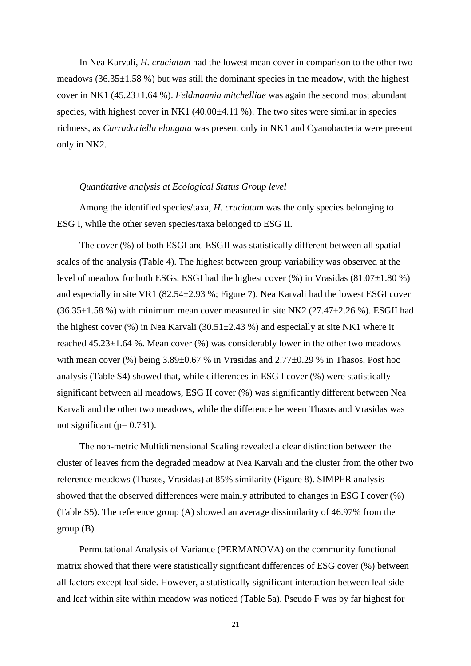In Nea Karvali, *H. cruciatum* had the lowest mean cover in comparison to the other two meadows  $(36.35\pm1.58\%)$  but was still the dominant species in the meadow, with the highest cover in NK1 (45.23±1.64 %). *Feldmannia mitchelliae* was again the second most abundant species, with highest cover in NK1  $(40.00\pm4.11\%)$ . The two sites were similar in species richness, as *Carradoriella elongata* was present only in NK1 and Cyanobacteria were present only in NK2.

#### *Quantitative analysis at Ecological Status Group level*

Among the identified species/taxa, *H. cruciatum* was the only species belonging to ESG I, while the other seven species/taxa belonged to ESG II.

The cover (%) of both ESGI and ESGII was statistically different between all spatial scales of the analysis (Table 4). The highest between group variability was observed at the level of meadow for both ESGs. ESGI had the highest cover  $(\%)$  in Vrasidas  $(81.07\pm1.80\%)$ and especially in site VR1 (82.54±2.93 %; Figure 7). Nea Karvali had the lowest ESGI cover  $(36.35\pm1.58\%)$  with minimum mean cover measured in site NK2  $(27.47\pm2.26\%)$ . ESGII had the highest cover  $(\%)$  in Nea Karvali  $(30.51 \pm 2.43 \%)$  and especially at site NK1 where it reached 45.23±1.64 %. Mean cover (%) was considerably lower in the other two meadows with mean cover (%) being  $3.89\pm0.67$  % in Vrasidas and  $2.77\pm0.29$  % in Thasos. Post hoc analysis (Table S4) showed that, while differences in ESG I cover (%) were statistically significant between all meadows, ESG II cover (%) was significantly different between Nea Karvali and the other two meadows, while the difference between Thasos and Vrasidas was not significant ( $p= 0.731$ ).

The non-metric Multidimensional Scaling revealed a clear distinction between the cluster of leaves from the degraded meadow at Nea Karvali and the cluster from the other two reference meadows (Thasos, Vrasidas) at 85% similarity (Figure 8). SIMPER analysis showed that the observed differences were mainly attributed to changes in ESG I cover (%) (Table S5). The reference group (A) showed an average dissimilarity of 46.97% from the group (B).

Permutational Analysis of Variance (PERMANOVA) on the community functional matrix showed that there were statistically significant differences of ESG cover (%) between all factors except leaf side. However, a statistically significant interaction between leaf side and leaf within site within meadow was noticed (Table 5a). Pseudo F was by far highest for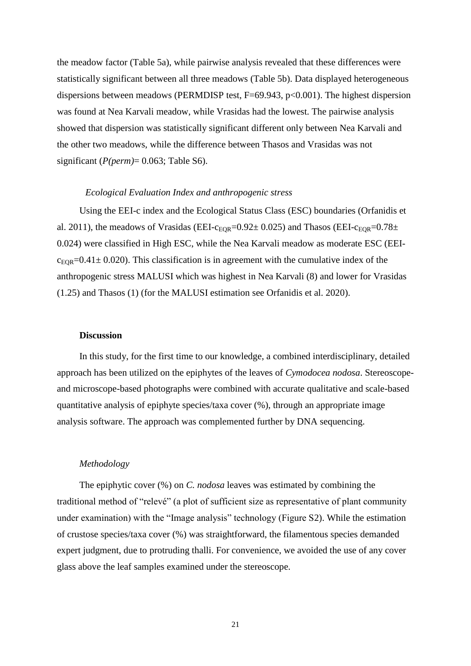the meadow factor (Table 5a), while pairwise analysis revealed that these differences were statistically significant between all three meadows (Table 5b). Data displayed heterogeneous dispersions between meadows (PERMDISP test, F=69.943, p<0.001). The highest dispersion was found at Nea Karvali meadow, while Vrasidas had the lowest. The pairwise analysis showed that dispersion was statistically significant different only between Nea Karvali and the other two meadows, while the difference between Thasos and Vrasidas was not significant (*P(perm)*= 0.063; Table S6).

#### *Ecological Evaluation Index and anthropogenic stress*

Using the EEI-c index and the Ecological Status Class (ESC) boundaries (Orfanidis et al. 2011), the meadows of Vrasidas (EEI- $c_{EOR}=0.92\pm 0.025$ ) and Thasos (EEI- $c_{EOR}=0.78\pm 0.025$ ) 0.024) were classified in High ESC, while the Nea Karvali meadow as moderate ESC (EEI $c_{EOR}$ =0.41 $\pm$  0.020). This classification is in agreement with the cumulative index of the anthropogenic stress MALUSI which was highest in Nea Karvali (8) and lower for Vrasidas (1.25) and Thasos (1) [\(for the MALUSI estimation see Orfanidis et al. 2020\)](#page-28-7).

#### **Discussion**

In this study, for the first time to our knowledge, a combined interdisciplinary, detailed approach has been utilized on the epiphytes of the leaves of *Cymodocea nodosa*. Stereoscopeand microscope-based photographs were combined with accurate qualitative and scale-based quantitative analysis of epiphyte species/taxa cover (%), through an appropriate image analysis software. The approach was complemented further by DNA sequencing.

#### *Methodology*

The epiphytic cover (%) on *C. nodosa* leaves was estimated by combining the traditional method of "relevé" (a plot of sufficient size as representative of plant community under examination) with the "Image analysis" technology (Figure S2). While the estimation of crustose species/taxa cover (%) was straightforward, the filamentous species demanded expert judgment, due to protruding thalli. For convenience, we avoided the use of any cover glass above the leaf samples examined under the stereoscope.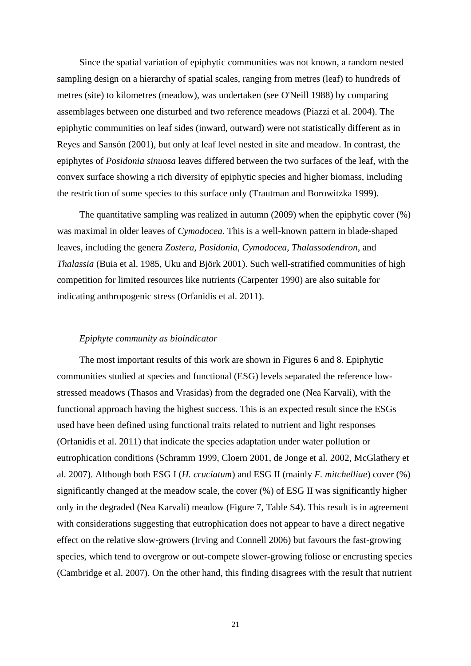Since the spatial variation of epiphytic communities was not known, a random nested sampling design on a hierarchy of spatial scales, ranging from metres (leaf) to hundreds of metres (site) to kilometres (meadow), was undertaken [\(see O'Neill 1988\)](#page-28-8) by comparing assemblages between one disturbed and two reference meadows [\(Piazzi et al. 2004\)](#page-29-7). The epiphytic communities on leaf sides (inward, outward) were not statistically different as in [Reyes and Sansón \(2001\),](#page-29-8) but only at leaf level nested in site and meadow. In contrast, the epiphytes of *Posidonia sinuosa* leaves differed between the two surfaces of the leaf, with the convex surface showing a rich diversity of epiphytic species and higher biomass, including the restriction of some species to this surface only [\(Trautman and Borowitzka 1999\)](#page-30-6).

The quantitative sampling was realized in autumn (2009) when the epiphytic cover (%) was maximal in older leaves of *Cymodocea*. This is a well-known pattern in blade-shaped leaves, including the genera *Zostera*, *Posidonia*, *Cymodocea*, *Thalassodendron*, and *Thalassia* [\(Buia et al. 1985,](#page-24-5) [Uku and Björk 2001\)](#page-30-5). Such well-stratified communities of high competition for limited resources like nutrients [\(Carpenter 1990\)](#page-25-8) are also suitable for indicating anthropogenic stress [\(Orfanidis et al. 2011\)](#page-28-6).

#### *Epiphyte community as bioindicator*

The most important results of this work are shown in Figures 6 and 8. Epiphytic communities studied at species and functional (ESG) levels separated the reference lowstressed meadows (Thasos and Vrasidas) from the degraded one (Nea Karvali), with the functional approach having the highest success. This is an expected result since the ESGs used have been defined using functional traits related to nutrient and light responses [\(Orfanidis et al. 2011\)](#page-28-6) that indicate the species adaptation under water pollution or eutrophication conditions [\(Schramm 1999,](#page-30-8) [Cloern 2001,](#page-25-9) [de Jonge et al. 2002,](#page-25-10) [McGlathery et](#page-28-9)  [al. 2007\)](#page-28-9). Although both ESG I (*H. cruciatum*) and ESG II (mainly *F. mitchelliae*) cover (%) significantly changed at the meadow scale, the cover (%) of ESG II was significantly higher only in the degraded (Nea Karvali) meadow (Figure 7, Table S4). This result is in agreement with considerations suggesting that eutrophication does not appear to have a direct negative effect on the relative slow-growers [\(Irving and Connell 2006\)](#page-26-9) but favours the fast-growing species, which tend to overgrow or out-compete slower-growing foliose or encrusting species [\(Cambridge et al.](#page-24-6) 2007). On the other hand, this finding disagrees with the result that nutrient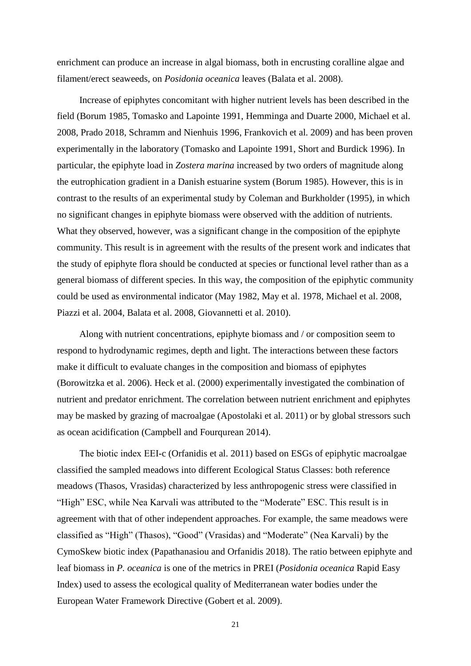enrichment can produce an increase in algal biomass, both in encrusting coralline algae and filament/erect seaweeds, on *Posidonia oceanica* leaves [\(Balata et al. 2008\)](#page-24-4).

Increase of epiphytes concomitant with higher nutrient levels has been described in the field [\(Borum 1985,](#page-24-7) [Tomasko and Lapointe 1991,](#page-30-9) [Hemminga and Duarte 2000,](#page-26-1) [Michael et al.](#page-28-10)  [2008,](#page-28-10) [Prado 2018,](#page-29-9) [Schramm and Nienhuis 1996,](#page-30-10) [Frankovich et al. 2009\)](#page-25-6) and has been proven experimentally in the laboratory [\(Tomasko and Lapointe 1991,](#page-30-9) [Short and Burdick 1996\)](#page-30-11). In particular, the epiphyte load in *Zostera marina* increased by two orders of magnitude along the eutrophication gradient in a Danish estuarine system [\(Borum 1985\)](#page-24-7). However, this is in contrast to the results of an experimental study by [Coleman and Burkholder \(1995\),](#page-25-11) in which no significant changes in epiphyte biomass were observed with the addition of nutrients. What they observed, however, was a significant change in the composition of the epiphyte community. This result is in agreement with the results of the present work and indicates that the study of epiphyte flora should be conducted at species or functional level rather than as a general biomass of different species. In this way, the composition of the epiphytic community could be used as environmental indicator [\(May 1982,](#page-27-10) [May et al. 1978,](#page-28-11) [Michael et al. 2008,](#page-28-10) [Piazzi et al. 2004,](#page-29-7) [Balata et al. 2008,](#page-24-4) [Giovannetti et al. 2010\)](#page-26-5).

Along with nutrient concentrations, epiphyte biomass and / or composition seem to respond to hydrodynamic regimes, depth and light. The interactions between these factors make it difficult to evaluate changes in the composition and biomass of epiphytes [\(Borowitzka et al. 2006\)](#page-24-0). [Heck et al. \(2000\)](#page-26-10) experimentally investigated the combination of nutrient and predator enrichment. The correlation between nutrient enrichment and epiphytes may be masked by grazing of macroalgae [\(Apostolaki et al. 2011\)](#page-24-8) or by global stressors such as ocean acidification [\(Campbell and Fourqurean 2014\)](#page-25-12).

Τhe biotic index EEI-c [\(Orfanidis et al. 2011\)](#page-28-6) based on ESGs of epiphytic macroalgae classified the sampled meadows into different Ecological Status Classes: both reference meadows (Thasos, Vrasidas) characterized by less anthropogenic stress were classified in "High" ESC, while Nea Karvali was attributed to the "Moderate" ESC. This result is in agreement with that of other independent approaches. For example, the same meadows were classified as "High" (Thasos), "Good" (Vrasidas) and "Moderate" (Nea Karvali) by the CymoSkew biotic index [\(Papathanasiou and Orfanidis 2018\)](#page-29-3). The ratio between epiphyte and leaf biomass in *P. oceanica* is one of the metrics in PREI (*Posidonia oceanica* Rapid Easy Index) used to assess the ecological quality of Mediterranean water bodies under the European Water Framework Directive [\(Gobert et al. 2009\)](#page-26-11).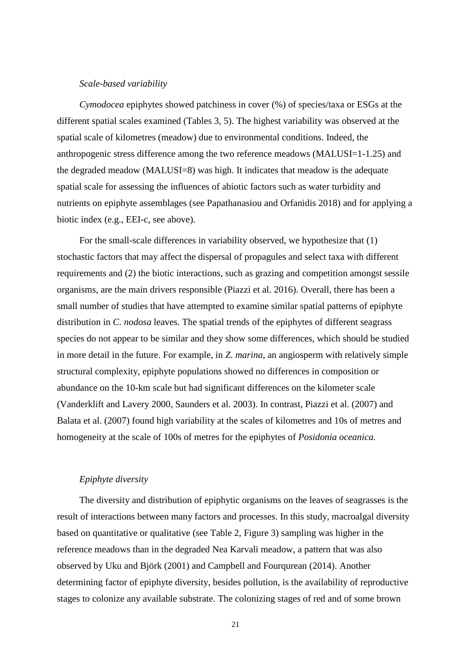#### *Scale-based variability*

*Cymodocea* epiphytes showed patchiness in cover (%) of species/taxa or ESGs at the different spatial scales examined (Tables 3, 5). The highest variability was observed at the spatial scale of kilometres (meadow) due to environmental conditions. Indeed, the anthropogenic stress difference among the two reference meadows (MALUSI=1-1.25) and the degraded meadow (MALUSI=8) was high. It indicates that meadow is the adequate spatial scale for assessing the influences of abiotic factors such as water turbidity and nutrients on epiphyte assemblages [\(see Papathanasiou and Orfanidis 2018\)](#page-29-3) and for applying a biotic index (e.g., EEI-c, see above).

For the small-scale differences in variability observed, we hypothesize that (1) stochastic factors that may affect the dispersal of propagules and select taxa with different requirements and (2) the biotic interactions, such as grazing and competition amongst sessile organisms, are the main drivers responsible [\(Piazzi et al. 2016\)](#page-29-1). Overall, there has been a small number of studies that have attempted to examine similar spatial patterns of epiphyte distribution in *C. nodosa* leaves. The spatial trends of the epiphytes of different seagrass species do not appear to be similar and they show some differences, which should be studied in more detail in the future. For example, in *Z. marina*, an angiosperm with relatively simple structural complexity, epiphyte populations showed no differences in composition or abundance on the 10-km scale but had significant differences on the kilometer scale [\(Vanderklift and Lavery 2000,](#page-31-2) [Saunders et al. 2003\)](#page-30-12). In contrast, [Piazzi et al. \(2007\)](#page-29-10) and [Balata et al. \(2007\)](#page-24-3) found high variability at the scales of kilometres and 10s of metres and homogeneity at the scale of 100s of metres for the epiphytes of *Posidonia oceanica.*

#### *Epiphyte diversity*

The diversity and distribution of epiphytic organisms on the leaves of seagrasses is the result of interactions between many factors and processes. In this study, macroalgal diversity based on quantitative or qualitative (see Table 2, Figure 3) sampling was higher in the reference meadows than in the degraded Nea Karvali meadow, a pattern that was also observed by [Uku and Björk \(2001\)](#page-30-5) and [Campbell and Fourqurean \(2014\).](#page-25-12) Another determining factor of epiphyte diversity, besides pollution, is the availability of reproductive stages to colonize any available substrate. The colonizing stages of red and of some brown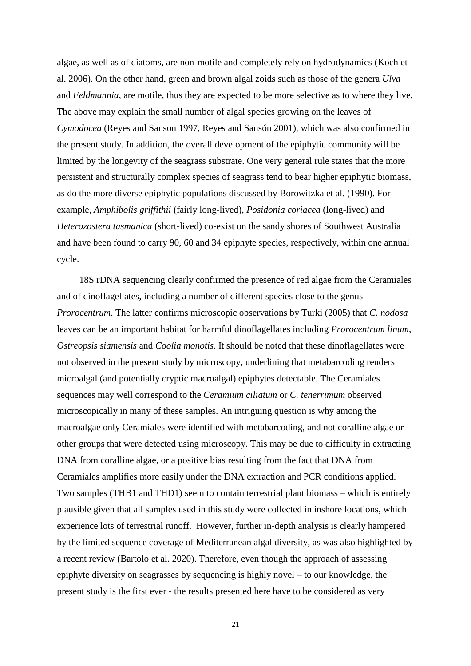algae, as well as of diatoms, are non-motile and completely rely on hydrodynamics [\(Koch et](#page-27-11)  [al. 2006\)](#page-27-11). On the other hand, green and brown algal zoids such as those of the genera *Ulva* and *Feldmannia*, are motile, thus they are expected to be more selective as to where they live. The above may explain the small number of algal species growing on the leaves of *Cymodocea* [\(Reyes and Sanson 1997,](#page-29-11) [Reyes and Sansón 2001\)](#page-29-8), which was also confirmed in the present study. In addition, the overall development of the epiphytic community will be limited by the longevity of the seagrass substrate. One very general rule states that the more persistent and structurally complex species of seagrass tend to bear higher epiphytic biomass, as do the more diverse epiphytic populations discussed by [Borowitzka et al. \(1990\).](#page-24-9) For example, *Amphibolis griffithii* (fairly long-lived), *Posidonia coriacea* (long-lived) and *Heterozostera tasmanica* (short-lived) co-exist on the sandy shores of Southwest Australia and have been found to carry 90, 60 and 34 epiphyte species, respectively, within one annual cycle.

18S rDNA sequencing clearly confirmed the presence of red algae from the Ceramiales and of dinoflagellates, including a number of different species close to the genus *Prorocentrum*. The latter confirms microscopic observations by Turki (2005) that *C. nodosa* leaves can be an important habitat for harmful dinoflagellates including *Prorocentrum linum*, *Ostreopsis siamensis* and *Coolia monotis*. It should be noted that these dinoflagellates were not observed in the present study by microscopy, underlining that metabarcoding renders microalgal (and potentially cryptic macroalgal) epiphytes detectable. The Ceramiales sequences may well correspond to the *Ceramium ciliatum* or *C. tenerrimum* observed microscopically in many of these samples. An intriguing question is why among the macroalgae only Ceramiales were identified with metabarcoding, and not coralline algae or other groups that were detected using microscopy. This may be due to difficulty in extracting DNA from coralline algae, or a positive bias resulting from the fact that DNA from Ceramiales amplifies more easily under the DNA extraction and PCR conditions applied. Two samples (THB1 and THD1) seem to contain terrestrial plant biomass – which is entirely plausible given that all samples used in this study were collected in inshore locations, which experience lots of terrestrial runoff. However, further in-depth analysis is clearly hampered by the limited sequence coverage of Mediterranean algal diversity, as was also highlighted by a recent review [\(Bartolo et al. 2020\)](#page-24-10). Therefore, even though the approach of assessing epiphyte diversity on seagrasses by sequencing is highly novel – to our knowledge, the present study is the first ever - the results presented here have to be considered as very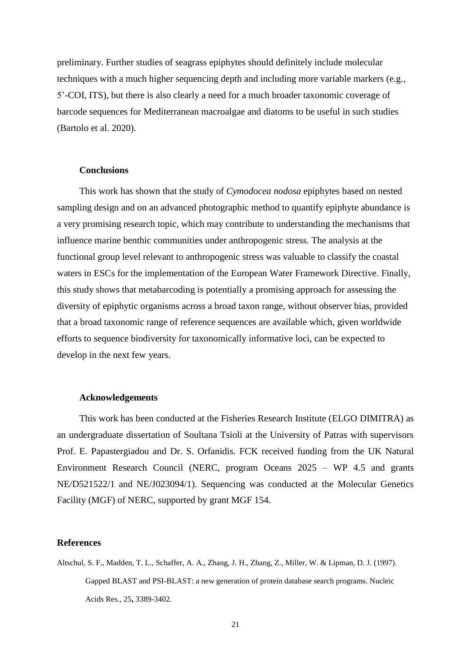preliminary. Further studies of seagrass epiphytes should definitely include molecular techniques with a much higher sequencing depth and including more variable markers (e.g., 5'-COI, ITS), but there is also clearly a need for a much broader taxonomic coverage of barcode sequences for Mediterranean macroalgae and diatoms to be useful in such studies [\(Bartolo et al. 2020\)](#page-24-10).

#### **Conclusions**

This work has shown that the study of *Cymodocea nodosa* epiphytes based on nested sampling design and on an advanced photographic method to quantify epiphyte abundance is a very promising research topic, which may contribute to understanding the mechanisms that influence marine benthic communities under anthropogenic stress. The analysis at the functional group level relevant to anthropogenic stress was valuable to classify the coastal waters in ESCs for the implementation of the European Water Framework Directive. Finally, this study shows that metabarcoding is potentially a promising approach for assessing the diversity of epiphytic organisms across a broad taxon range, without observer bias, provided that a broad taxonomic range of reference sequences are available which, given worldwide efforts to sequence biodiversity for taxonomically informative loci, can be expected to develop in the next few years.

#### **Acknowledgements**

This work has been conducted at the Fisheries Research Institute (ELGO DIMITRA) as an undergraduate dissertation of Soultana Tsioli at the University of Patras with supervisors Prof. E. Papastergiadou and Dr. S. Orfanidis. FCK received funding from the UK Natural Environment Research Council (NERC, program Oceans 2025 – WP 4.5 and grants NE/D521522/1 and NE/J023094/1). Sequencing was conducted at the Molecular Genetics Facility (MGF) of NERC, supported by grant MGF 154.

#### **References**

<span id="page-23-0"></span>Altschul, S. F., Madden, T. L., Schaffer, A. A., Zhang, J. H., Zhang, Z., Miller, W. & Lipman, D. J. (1997). Gapped BLAST and PSI-BLAST: a new generation of protein database search programs. Nucleic Acids Res., 25**,** 3389-3402.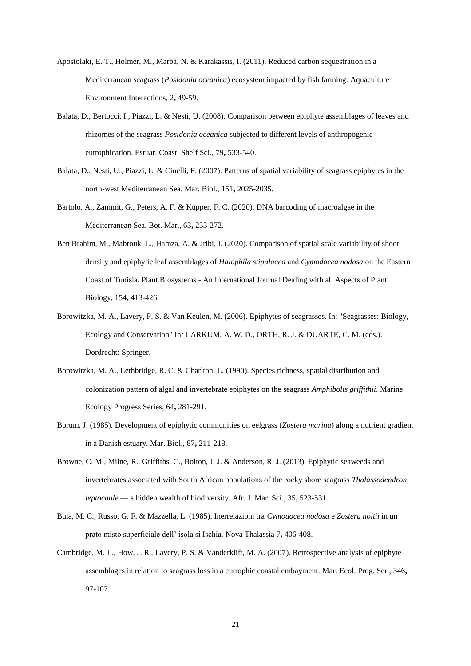- <span id="page-24-8"></span>Apostolaki, E. T., Holmer, M., Marbà, N. & Karakassis, I. (2011). Reduced carbon sequestration in a Mediterranean seagrass (*Posidonia oceanica*) ecosystem impacted by fish farming. Aquaculture Environment Interactions, 2**,** 49-59.
- <span id="page-24-4"></span>Balata, D., Bertocci, I., Piazzi, L. & Nesti, U. (2008). Comparison between epiphyte assemblages of leaves and rhizomes of the seagrass *Posidonia oceanica* subjected to different levels of anthropogenic eutrophication. Estuar. Coast. Shelf Sci., 79**,** 533-540.
- <span id="page-24-3"></span>Balata, D., Nesti, U., Piazzi, L. & Cinelli, F. (2007). Patterns of spatial variability of seagrass epiphytes in the north-west Mediterranean Sea. Mar. Biol., 151**,** 2025-2035.
- <span id="page-24-10"></span>Bartolo, A., Zammit, G., Peters, A. F. & Küpper, F. C. (2020). DNA barcoding of macroalgae in the Mediterranean Sea. Bot. Mar., 63**,** 253-272.
- <span id="page-24-2"></span>Ben Brahim, M., Mabrouk, L., Hamza, A. & Jribi, I. (2020). Comparison of spatial scale variability of shoot density and epiphytic leaf assemblages of *Halophila stipulacea* and *Cymodocea nodosa* on the Eastern Coast of Tunisia. Plant Biosystems - An International Journal Dealing with all Aspects of Plant Biology, 154**,** 413-426.
- <span id="page-24-0"></span>Borowitzka, M. A., Lavery, P. S. & Van Keulen, M. (2006). Epiphytes of seagrasses. In: "Seagrasses: Biology, Ecology and Conservation" In*:* LARKUM, A. W. D., ORTH, R. J. & DUARTE, C. M. (eds.). Dordrecht: Springer.
- <span id="page-24-9"></span>Borowitzka, M. A., Lethbridge, R. C. & Charlton, L. (1990). Species richness, spatial distribution and colonization pattern of algal and invertebrate epiphytes on the seagrass *Amphibolis griffithii*. Marine Ecology Progress Series, 64**,** 281-291.
- <span id="page-24-7"></span>Borum, J. (1985). Development of epiphytic communities on eelgrass (*Zostera marina*) along a nutrient gradient in a Danish estuary. Mar. Biol., 87**,** 211-218.
- <span id="page-24-1"></span>Browne, C. M., Milne, R., Griffiths, C., Bolton, J. J. & Anderson, R. J. (2013). Epiphytic seaweeds and invertebrates associated with South African populations of the rocky shore seagrass *Thalassodendron leptocaule* — a hidden wealth of biodiversity. Afr. J. Mar. Sci., 35**,** 523-531.
- <span id="page-24-5"></span>Buia, M. C., Russo, G. F. & Mazzella, L. (1985). Inerrelazioni tra *Cymodocea nodosa* e *Zostera noltii* in un prato misto superficiale dell' isola si Ischia. Nova Thalassia 7**,** 406-408.
- <span id="page-24-6"></span>Cambridge, M. L., How, J. R., Lavery, P. S. & Vanderklift, M. A. (2007). Retrospective analysis of epiphyte assemblages in relation to seagrass loss in a eutrophic coastal embayment. Mar. Ecol. Prog. Ser., 346**,** 97-107.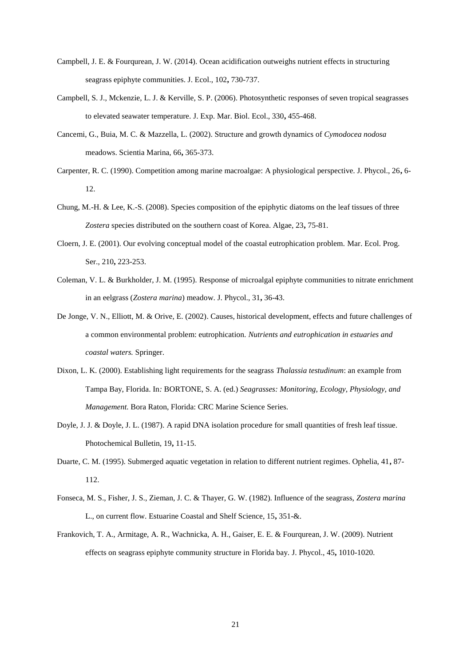- <span id="page-25-12"></span>Campbell, J. E. & Fourqurean, J. W. (2014). Ocean acidification outweighs nutrient effects in structuring seagrass epiphyte communities. J. Ecol., 102**,** 730-737.
- <span id="page-25-5"></span>Campbell, S. J., Mckenzie, L. J. & Kerville, S. P. (2006). Photosynthetic responses of seven tropical seagrasses to elevated seawater temperature. J. Exp. Mar. Biol. Ecol., 330**,** 455-468.
- <span id="page-25-0"></span>Cancemi, G., Buia, M. C. & Mazzella, L. (2002). Structure and growth dynamics of *Cymodocea nodosa* meadows. Scientia Marina, 66**,** 365-373.
- <span id="page-25-8"></span>Carpenter, R. C. (1990). Competition among marine macroalgae: A physiological perspective. J. Phycol., 26**,** 6- 12.
- <span id="page-25-1"></span>Chung, M.-H. & Lee, K.-S. (2008). Species composition of the epiphytic diatoms on the leaf tissues of three *Zostera* species distributed on the southern coast of Korea. Algae, 23**,** 75-81.
- <span id="page-25-9"></span>Cloern, J. E. (2001). Our evolving conceptual model of the coastal eutrophication problem. Mar. Ecol. Prog. Ser., 210**,** 223-253.
- <span id="page-25-11"></span>Coleman, V. L. & Burkholder, J. M. (1995). Response of microalgal epiphyte communities to nitrate enrichment in an eelgrass (*Zostera marina*) meadow. J. Phycol., 31**,** 36-43.
- <span id="page-25-10"></span>De Jonge, V. N., Elliott, M. & Orive, E. (2002). Causes, historical development, effects and future challenges of a common environmental problem: eutrophication. *Nutrients and eutrophication in estuaries and coastal waters.* Springer.
- <span id="page-25-4"></span>Dixon, L. K. (2000). Establishing light requirements for the seagrass *Thalassia testudinum*: an example from Tampa Bay, Florida. In*:* BORTONE, S. A. (ed.) *Seagrasses: Monitoring, Ecology, Physiology, and Management.* Bora Raton, Florida: CRC Marine Science Series.
- <span id="page-25-7"></span>Doyle, J. J. & Doyle, J. L. (1987). A rapid DNA isolation procedure for small quantities of fresh leaf tissue. Photochemical Bulletin, 19**,** 11-15.
- <span id="page-25-3"></span>Duarte, C. M. (1995). Submerged aquatic vegetation in relation to different nutrient regimes. Ophelia, 41**,** 87- 112.
- <span id="page-25-2"></span>Fonseca, M. S., Fisher, J. S., Zieman, J. C. & Thayer, G. W. (1982). Influence of the seagrass, *Zostera marina*  L., on current flow. Estuarine Coastal and Shelf Science, 15**,** 351-&.
- <span id="page-25-6"></span>Frankovich, T. A., Armitage, A. R., Wachnicka, A. H., Gaiser, E. E. & Fourqurean, J. W. (2009). Nutrient effects on seagrass epiphyte community structure in Florida bay. J. Phycol., 45**,** 1010-1020.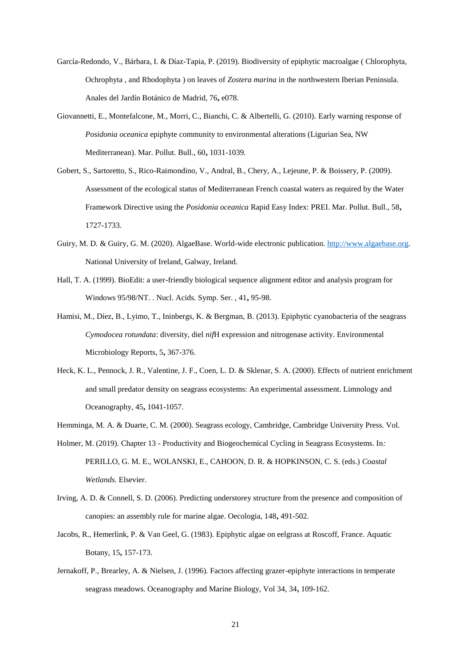- <span id="page-26-6"></span>García-Redondo, V., Bárbara, I. & Díaz-Tapia, P. (2019). Biodiversity of epiphytic macroalgae ( Chlorophyta, Ochrophyta , and Rhodophyta ) on leaves of *Zostera marina* in the northwestern Iberian Peninsula. Anales del Jardín Botánico de Madrid, 76**,** e078.
- <span id="page-26-5"></span>Giovannetti, E., Montefalcone, M., Morri, C., Bianchi, C. & Albertelli, G. (2010). Early warning response of *Posidonia oceanica* epiphyte community to environmental alterations (Ligurian Sea, NW Mediterranean). Mar. Pollut. Bull., 60**,** 1031-1039.
- <span id="page-26-11"></span>Gobert, S., Sartoretto, S., Rico-Raimondino, V., Andral, B., Chery, A., Lejeune, P. & Boissery, P. (2009). Assessment of the ecological status of Mediterranean French coastal waters as required by the Water Framework Directive using the *Posidonia oceanica* Rapid Easy Index: PREI. Mar. Pollut. Bull., 58**,** 1727-1733.
- <span id="page-26-8"></span>Guiry, M. D. & Guiry, G. M. (2020). AlgaeBase. World-wide electronic publication. [http://www.algaebase.org.](about:blank) National University of Ireland, Galway, Ireland.
- <span id="page-26-7"></span>Hall, T. A. (1999). BioEdit: a user-friendly biological sequence alignment editor and analysis program for Windows 95/98/NT. . Nucl. Acids. Symp. Ser. , 41**,** 95-98.
- <span id="page-26-2"></span>Hamisi, M., Díez, B., Lyimo, T., Ininbergs, K. & Bergman, B. (2013). Epiphytic cyanobacteria of the seagrass *Cymodocea rotundata*: diversity, diel *nif*H expression and nitrogenase activity. Environmental Microbiology Reports, 5**,** 367-376.
- <span id="page-26-10"></span>Heck, K. L., Pennock, J. R., Valentine, J. F., Coen, L. D. & Sklenar, S. A. (2000). Effects of nutrient enrichment and small predator density on seagrass ecosystems: An experimental assessment. Limnology and Oceanography, 45**,** 1041-1057.
- <span id="page-26-1"></span>Hemminga, M. A. & Duarte, C. M. (2000). Seagrass ecology, Cambridge, Cambridge University Press. Vol.
- <span id="page-26-0"></span>Holmer, M. (2019). Chapter 13 - Productivity and Biogeochemical Cycling in Seagrass Ecosystems. In*:* PERILLO, G. M. E., WOLANSKI, E., CAHOON, D. R. & HOPKINSON, C. S. (eds.) *Coastal Wetlands.* Elsevier.
- <span id="page-26-9"></span>Irving, A. D. & Connell, S. D. (2006). Predicting understorey structure from the presence and composition of canopies: an assembly rule for marine algae. Oecologia, 148**,** 491-502.
- <span id="page-26-3"></span>Jacobs, R., Hemerlink, P. & Van Geel, G. (1983). Epiphytic algae on eelgrass at Roscoff, France. Aquatic Botany, 15**,** 157-173.
- <span id="page-26-4"></span>Jernakoff, P., Brearley, A. & Nielsen, J. (1996). Factors affecting grazer-epiphyte interactions in temperate seagrass meadows. Oceanography and Marine Biology, Vol 34, 34**,** 109-162.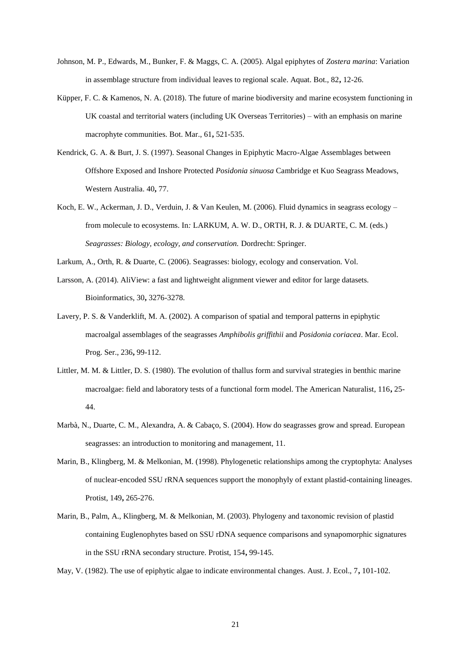- <span id="page-27-5"></span>Johnson, M. P., Edwards, M., Bunker, F. & Maggs, C. A. (2005). Algal epiphytes of *Zostera marina*: Variation in assemblage structure from individual leaves to regional scale. Aquat. Bot., 82**,** 12-26.
- <span id="page-27-1"></span>Küpper, F. C. & Kamenos, N. A. (2018). The future of marine biodiversity and marine ecosystem functioning in UK coastal and territorial waters (including UK Overseas Territories) – with an emphasis on marine macrophyte communities. Bot. Mar., 61**,** 521-535.
- <span id="page-27-3"></span>Kendrick, G. A. & Burt, J. S. (1997). Seasonal Changes in Epiphytic Macro-Algae Assemblages between Offshore Exposed and Inshore Protected *Posidonia sinuosa* Cambridge et Kuo Seagrass Meadows, Western Australia. 40**,** 77.
- <span id="page-27-11"></span>Koch, E. W., Ackerman, J. D., Verduin, J. & Van Keulen, M. (2006). Fluid dynamics in seagrass ecology – from molecule to ecosystems. In*:* LARKUM, A. W. D., ORTH, R. J. & DUARTE, C. M. (eds.) *Seagrasses: Biology, ecology, and conservation.* Dordrecht: Springer.
- <span id="page-27-0"></span>Larkum, A., Orth, R. & Duarte, C. (2006). Seagrasses: biology, ecology and conservation. Vol.
- <span id="page-27-9"></span>Larsson, A. (2014). AliView: a fast and lightweight alignment viewer and editor for large datasets. Bioinformatics, 30**,** 3276-3278.
- <span id="page-27-4"></span>Lavery, P. S. & Vanderklift, M. A. (2002). A comparison of spatial and temporal patterns in epiphytic macroalgal assemblages of the seagrasses *Amphibolis griffithii* and *Posidonia coriacea*. Mar. Ecol. Prog. Ser., 236**,** 99-112.
- <span id="page-27-6"></span>Littler, M. M. & Littler, D. S. (1980). The evolution of thallus form and survival strategies in benthic marine macroalgae: field and laboratory tests of a functional form model. The American Naturalist, 116**,** 25- 44.
- <span id="page-27-2"></span>Marbà, N., Duarte, C. M., Alexandra, A. & Cabaço, S. (2004). How do seagrasses grow and spread. European seagrasses: an introduction to monitoring and management, 11.
- <span id="page-27-7"></span>Marin, B., Klingberg, M. & Melkonian, M. (1998). Phylogenetic relationships among the cryptophyta: Analyses of nuclear-encoded SSU rRNA sequences support the monophyly of extant plastid-containing lineages. Protist, 149**,** 265-276.
- <span id="page-27-8"></span>Marin, B., Palm, A., Klingberg, M. & Melkonian, M. (2003). Phylogeny and taxonomic revision of plastid containing Euglenophytes based on SSU rDNA sequence comparisons and synapomorphic signatures in the SSU rRNA secondary structure. Protist, 154**,** 99-145.
- <span id="page-27-10"></span>May, V. (1982). The use of epiphytic algae to indicate environmental changes. Aust. J. Ecol., 7**,** 101-102.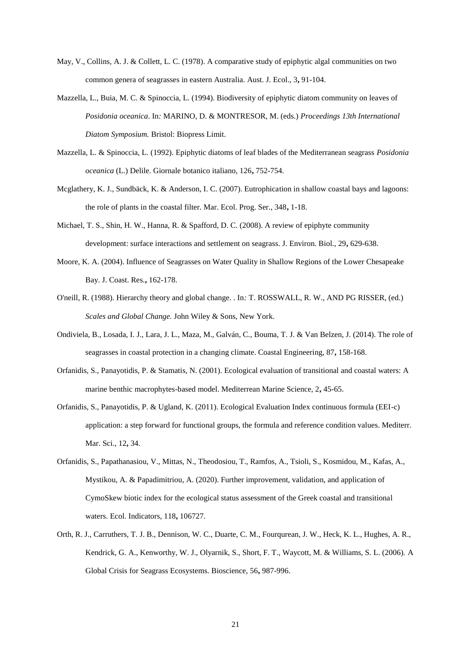- <span id="page-28-11"></span>May, V., Collins, A. J. & Collett, L. C. (1978). A comparative study of epiphytic algal communities on two common genera of seagrasses in eastern Australia. Aust. J. Ecol., 3**,** 91-104.
- <span id="page-28-5"></span>Mazzella, L., Buia, M. C. & Spinoccia, L. (1994). Biodiversity of epiphytic diatom community on leaves of *Posidonia oceanica*. In*:* MARINO, D. & MONTRESOR, M. (eds.) *Proceedings 13th International Diatom Symposium.* Bristol: Biopress Limit.
- <span id="page-28-4"></span>Mazzella, L. & Spinoccia, L. (1992). Epiphytic diatoms of leaf blades of the Mediterranean seagrass *Posidonia oceanica* (L.) Delile. Giornale botanico italiano, 126**,** 752-754.
- <span id="page-28-9"></span>Mcglathery, K. J., Sundbäck, K. & Anderson, I. C. (2007). Eutrophication in shallow coastal bays and lagoons: the role of plants in the coastal filter. Mar. Ecol. Prog. Ser., 348**,** 1-18.
- <span id="page-28-10"></span>Michael, T. S., Shin, H. W., Hanna, R. & Spafford, D. C. (2008). A review of epiphyte community development: surface interactions and settlement on seagrass. J. Environ. Biol., 29**,** 629-638.
- <span id="page-28-0"></span>Moore, K. A. (2004). Influence of Seagrasses on Water Quality in Shallow Regions of the Lower Chesapeake Bay. J. Coast. Res.**,** 162-178.
- <span id="page-28-8"></span>O'neill, R. (1988). Hierarchy theory and global change. . In*:* T. ROSSWALL, R. W., AND PG RISSER, (ed.) *Scales and Global Change.* John Wiley & Sons, New York.
- <span id="page-28-1"></span>Ondiviela, B., Losada, I. J., Lara, J. L., Maza, M., Galván, C., Bouma, T. J. & Van Belzen, J. (2014). The role of seagrasses in coastal protection in a changing climate. Coastal Engineering, 87**,** 158-168.
- <span id="page-28-2"></span>Orfanidis, S., Panayotidis, P. & Stamatis, N. (2001). Ecological evaluation of transitional and coastal waters: A marine benthic macrophytes-based model. Mediterrean Marine Science, 2**,** 45-65.
- <span id="page-28-6"></span>Orfanidis, S., Panayotidis, P. & Ugland, K. (2011). Ecological Evaluation Index continuous formula (EEI-c) application: a step forward for functional groups, the formula and reference condition values. Mediterr. Mar. Sci., 12**,** 34.
- <span id="page-28-7"></span>Orfanidis, S., Papathanasiou, V., Mittas, N., Theodosiou, T., Ramfos, A., Tsioli, S., Kosmidou, M., Kafas, A., Mystikou, A. & Papadimitriou, A. (2020). Further improvement, validation, and application of CymoSkew biotic index for the ecological status assessment of the Greek coastal and transitional waters. Ecol. Indicators, 118**,** 106727.
- <span id="page-28-3"></span>Orth, R. J., Carruthers, T. J. B., Dennison, W. C., Duarte, C. M., Fourqurean, J. W., Heck, K. L., Hughes, A. R., Kendrick, G. A., Kenworthy, W. J., Olyarnik, S., Short, F. T., Waycott, M. & Williams, S. L. (2006). A Global Crisis for Seagrass Ecosystems. Bioscience, 56**,** 987-996.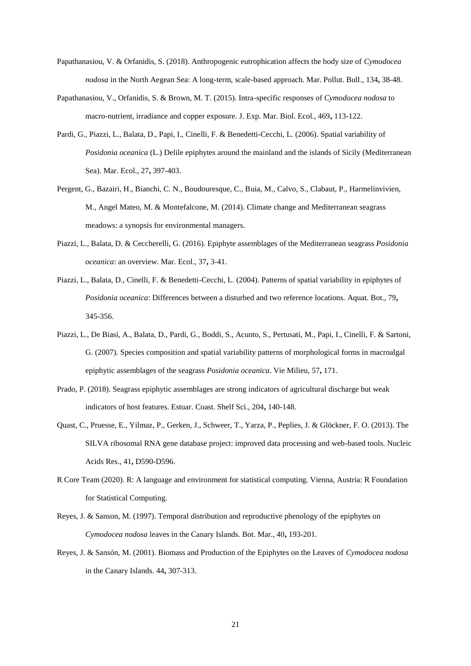- <span id="page-29-3"></span>Papathanasiou, V. & Orfanidis, S. (2018). Anthropogenic eutrophication affects the body size of *Cymodocea nodosa* in the North Aegean Sea: A long-term, scale-based approach. Mar. Pollut. Bull., 134**,** 38-48.
- <span id="page-29-4"></span>Papathanasiou, V., Orfanidis, S. & Brown, M. T. (2015). Intra-specific responses of *Cymodocea nodosa* to macro-nutrient, irradiance and copper exposure. J. Exp. Mar. Biol. Ecol., 469**,** 113-122.
- <span id="page-29-2"></span>Pardi, G., Piazzi, L., Balata, D., Papi, I., Cinelli, F. & Benedetti-Cecchi, L. (2006). Spatial variability of *Posidonia oceanica* (L.) Delile epiphytes around the mainland and the islands of Sicily (Mediterranean Sea). Mar. Ecol., 27**,** 397-403.
- <span id="page-29-0"></span>Pergent, G., Bazairi, H., Bianchi, C. N., Boudouresque, C., Buia, M., Calvo, S., Clabaut, P., Harmelinvivien, M., Angel Mateo, M. & Montefalcone, M. (2014). Climate change and Mediterranean seagrass meadows: a synopsis for environmental managers.
- <span id="page-29-1"></span>Piazzi, L., Balata, D. & Ceccherelli, G. (2016). Epiphyte assemblages of the Mediterranean seagrass *Posidonia oceanica*: an overview. Mar. Ecol., 37**,** 3-41.
- <span id="page-29-7"></span>Piazzi, L., Balata, D., Cinelli, F. & Benedetti-Cecchi, L. (2004). Patterns of spatial variability in epiphytes of *Posidonia oceanica*: Differences between a disturbed and two reference locations. Aquat. Bot., 79**,** 345-356.
- <span id="page-29-10"></span>Piazzi, L., De Biasi, A., Balata, D., Pardi, G., Boddi, S., Acunto, S., Pertusati, M., Papi, I., Cinelli, F. & Sartoni, G. (2007). Species composition and spatial variability patterns of morphological forms in macroalgal epiphytic assemblages of the seagrass *Posidonia oceanica*. Vie Milieu, 57**,** 171.
- <span id="page-29-9"></span>Prado, P. (2018). Seagrass epiphytic assemblages are strong indicators of agricultural discharge but weak indicators of host features. Estuar. Coast. Shelf Sci., 204**,** 140-148.
- <span id="page-29-5"></span>Quast, C., Pruesse, E., Yilmaz, P., Gerken, J., Schweer, T., Yarza, P., Peplies, J. & Glöckner, F. O. (2013). The SILVA ribosomal RNA gene database project: improved data processing and web-based tools. Nucleic Acids Res., 41**,** D590-D596.
- <span id="page-29-6"></span>R Core Team (2020). R: A language and environment for statistical computing. Vienna, Austria: R Foundation for Statistical Computing.
- <span id="page-29-11"></span>Reyes, J. & Sanson, M. (1997). Temporal distribution and reproductive phenology of the epiphytes on *Cymodocea nodosa* leaves in the Canary Islands. Bot. Mar., 40**,** 193-201.
- <span id="page-29-8"></span>Reyes, J. & Sansón, M. (2001). Biomass and Production of the Epiphytes on the Leaves of *Cymodocea nodosa* in the Canary Islands. 44**,** 307-313.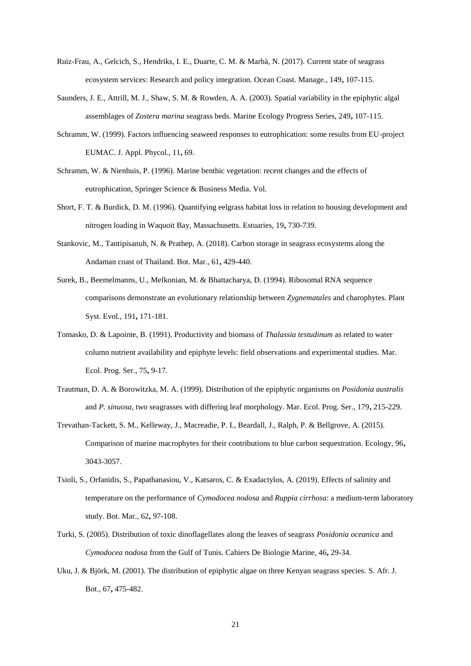- <span id="page-30-2"></span>Ruiz-Frau, A., Gelcich, S., Hendriks, I. E., Duarte, C. M. & Marbà, N. (2017). Current state of seagrass ecosystem services: Research and policy integration. Ocean Coast. Manage., 149**,** 107-115.
- <span id="page-30-12"></span>Saunders, J. E., Attrill, M. J., Shaw, S. M. & Rowden, A. A. (2003). Spatial variability in the epiphytic algal assemblages of *Zostera marina* seagrass beds. Marine Ecology Progress Series, 249**,** 107-115.
- <span id="page-30-8"></span>Schramm, W. (1999). Factors influencing seaweed responses to eutrophication: some results from EU-project EUMAC. J. Appl. Phycol., 11**,** 69.
- <span id="page-30-10"></span>Schramm, W. & Nienhuis, P. (1996). Marine benthic vegetation: recent changes and the effects of eutrophication, Springer Science & Business Media. Vol.
- <span id="page-30-11"></span>Short, F. T. & Burdick, D. M. (1996). Quantifying eelgrass habitat loss in relation to housing development and nitrogen loading in Waquoit Bay, Massachusetts. Estuaries, 19**,** 730-739.
- <span id="page-30-1"></span>Stankovic, M., Tantipisanuh, N. & Prathep, A. (2018). Carbon storage in seagrass ecosystems along the Andaman coast of Thailand. Bot. Mar., 61**,** 429-440.
- <span id="page-30-7"></span>Surek, B., Beemelmanns, U., Melkonian, M. & Bhattacharya, D. (1994). Ribosomal RNA sequence comparisons demonstrate an evolutionary relationship between *Zygnematales* and charophytes. Plant Syst. Evol., 191**,** 171-181.
- <span id="page-30-9"></span>Tomasko, D. & Lapointe, B. (1991). Productivity and biomass of *Thalassia testudinum* as related to water column nutrient availability and epiphyte levels: field observations and experimental studies. Mar. Ecol. Prog. Ser., 75**,** 9-17.
- <span id="page-30-6"></span>Trautman, D. A. & Borowitzka, M. A. (1999). Distribution of the epiphytic organisms on *Posidonia australis* and *P. sinuosa*, two seagrasses with differing leaf morphology. Mar. Ecol. Prog. Ser., 179**,** 215-229.
- <span id="page-30-0"></span>Trevathan-Tackett, S. M., Kelleway, J., Macreadie, P. I., Beardall, J., Ralph, P. & Bellgrove, A. (2015). Comparison of marine macrophytes for their contributions to blue carbon sequestration. Ecology, 96**,** 3043-3057.
- <span id="page-30-3"></span>Tsioli, S., Orfanidis, S., Papathanasiou, V., Katsaros, C. & Exadactylos, A. (2019). Effects of salinity and temperature on the performance of *Cymodocea nodosa* and *Ruppia cirrhosa*: a medium-term laboratory study. Bot. Mar., 62**,** 97-108.
- <span id="page-30-4"></span>Turki, S. (2005). Distribution of toxic dinoflagellates along the leaves of seagrass *Posidonia oceanica* and *Cymodocea nodosa* from the Gulf of Tunis. Cahiers De Biologie Marine, 46**,** 29-34.
- <span id="page-30-5"></span>Uku, J. & Björk, M. (2001). The distribution of epiphytic algae on three Kenyan seagrass species. S. Afr. J. Bot., 67**,** 475-482.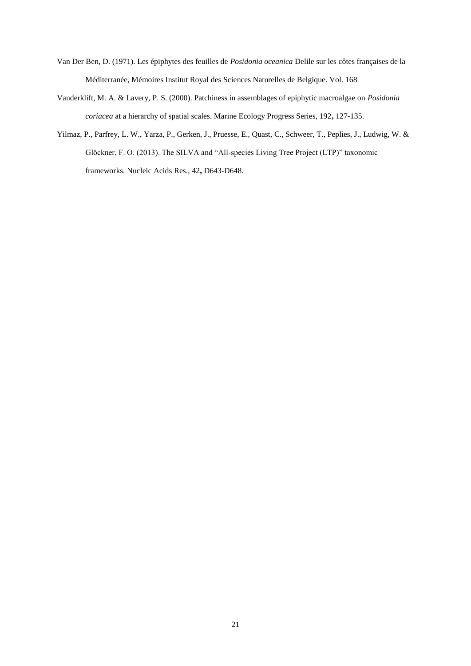- <span id="page-31-0"></span>Van Der Ben, D. (1971). Les épiphytes des feuilles de *Posidonia oceanica* Delile sur les côtes françaises de la Méditerranée, Mémoires Institut Royal des Sciences Naturelles de Belgique. Vol. 168
- <span id="page-31-2"></span>Vanderklift, M. A. & Lavery, P. S. (2000). Patchiness in assemblages of epiphytic macroalgae on *Posidonia coriacea* at a hierarchy of spatial scales. Marine Ecology Progress Series, 192**,** 127-135.
- <span id="page-31-1"></span>Yilmaz, P., Parfrey, L. W., Yarza, P., Gerken, J., Pruesse, E., Quast, C., Schweer, T., Peplies, J., Ludwig, W. & Glöckner, F. O. (2013). The SILVA and "All-species Living Tree Project (LTP)" taxonomic frameworks. Nucleic Acids Res., 42**,** D643-D648.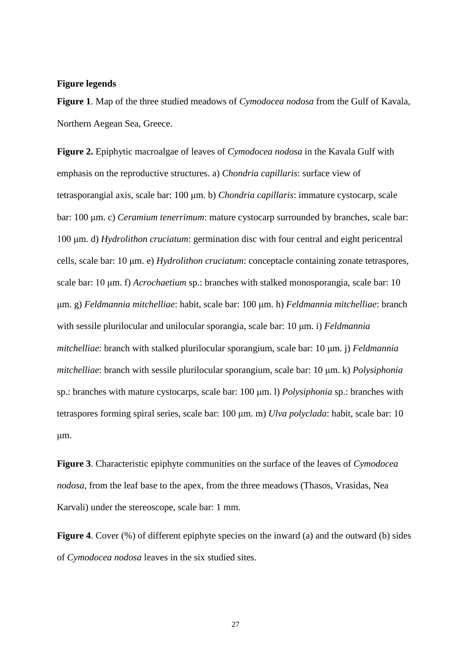#### **Figure legends**

**Figure 1**. Map of the three studied meadows of *Cymodocea nodosa* from the Gulf of Kavala, Northern Aegean Sea, Greece.

**Figure 2.** Epiphytic macroalgae of leaves of *Cymodocea nodosa* in the Kavala Gulf with emphasis on the reproductive structures. a) *Chondria capillaris*: surface view of tetrasporangial axis, scale bar: 100 μm. b) *Chondria capillaris*: immature cystocarp, scale bar: 100 μm. c) *Ceramium tenerrimum*: mature cystocarp surrounded by branches, scale bar: 100 μm. d) *Hydrolithon cruciatum*: germination disc with four central and eight pericentral cells, scale bar: 10 μm. e) *Hydrolithon cruciatum*: conceptacle containing zonate tetraspores, scale bar: 10 μm. f) *Acrochaetium* sp.: branches with stalked monosporangia, scale bar: 10 μm. g) *Feldmannia mitchelliae*: habit, scale bar: 100 μm. h) *Feldmannia mitchelliae*: branch with sessile plurilocular and unilocular sporangia, scale bar: 10 μm. i) *Feldmannia mitchelliae*: branch with stalked plurilocular sporangium, scale bar: 10 μm. j) *Feldmannia mitchelliae*: branch with sessile plurilocular sporangium, scale bar: 10 μm. k) *Polysiphonia* sp.: branches with mature cystocarps, scale bar: 100 μm. l) *Polysiphonia* sp.: branches with tetraspores forming spiral series, scale bar: 100 μm. m) *Ulva polyclada*: habit, scale bar: 10 μm.

**Figure 3**. Characteristic epiphyte communities on the surface of the leaves of *Cymodocea nodosa*, from the leaf base to the apex, from the three meadows (Thasos, Vrasidas, Nea Karvali) under the stereoscope, scale bar: 1 mm.

**Figure 4.** Cover (%) of different epiphyte species on the inward (a) and the outward (b) sides of *Cymodocea nodosa* leaves in the six studied sites.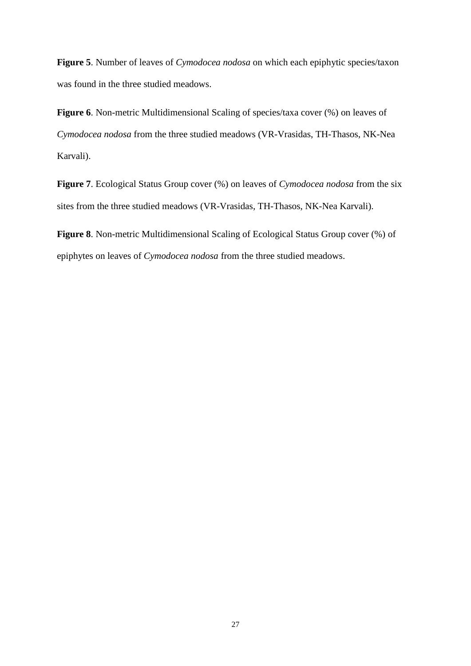**Figure 5**. Number of leaves of *Cymodocea nodosa* on which each epiphytic species/taxon was found in the three studied meadows.

**Figure 6**. Non-metric Multidimensional Scaling of species/taxa cover (%) on leaves of *Cymodocea nodosa* from the three studied meadows (VR-Vrasidas, TH-Thasos, NK-Nea Karvali).

**Figure 7**. Ecological Status Group cover (%) on leaves of *Cymodocea nodosa* from the six sites from the three studied meadows (VR-Vrasidas, TH-Thasos, NK-Nea Karvali).

**Figure 8**. Non-metric Multidimensional Scaling of Ecological Status Group cover (%) of epiphytes on leaves of *Cymodocea nodosa* from the three studied meadows.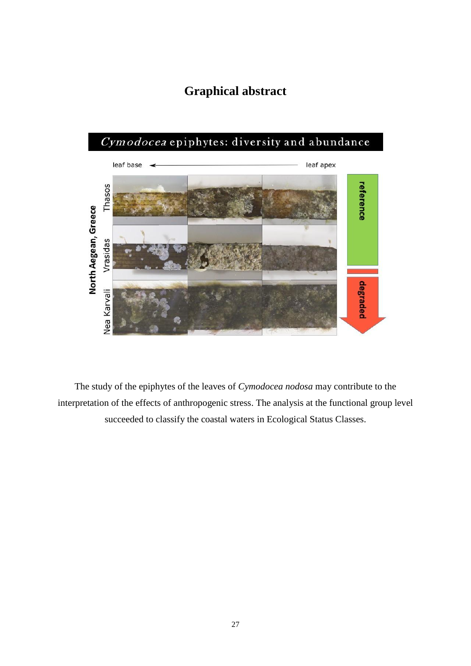## **Graphical abstract**



The study of the epiphytes of the leaves of *Cymodocea nodosa* may contribute to the interpretation of the effects of anthropogenic stress. The analysis at the functional group level succeeded to classify the coastal waters in Ecological Status Classes.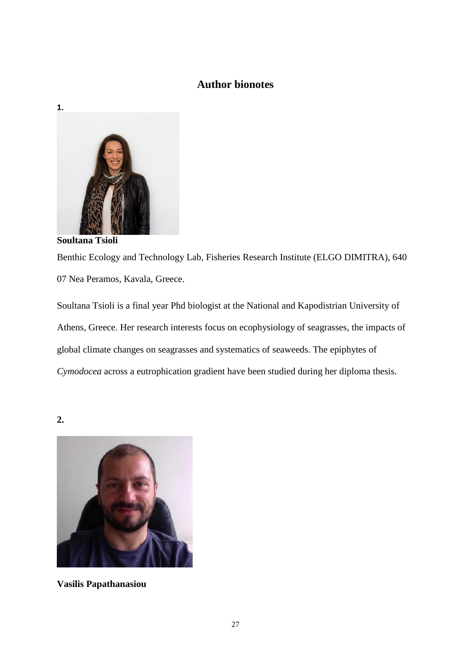### **Author bionotes**



**Soultana Tsioli**  Benthic Ecology and Technology Lab, Fisheries Research Institute (ELGO DIMITRA), 640 07 Nea Peramos, Kavala, Greece.

Soultana Tsioli is a final year Phd biologist at the National and Kapodistrian University of Athens, Greece. Her research interests focus on ecophysiology of seagrasses, the impacts of global climate changes on seagrasses and systematics of seaweeds. The epiphytes of *Cymodocea* across a eutrophication gradient have been studied during her diploma thesis.

**2.**



**Vasilis Papathanasiou**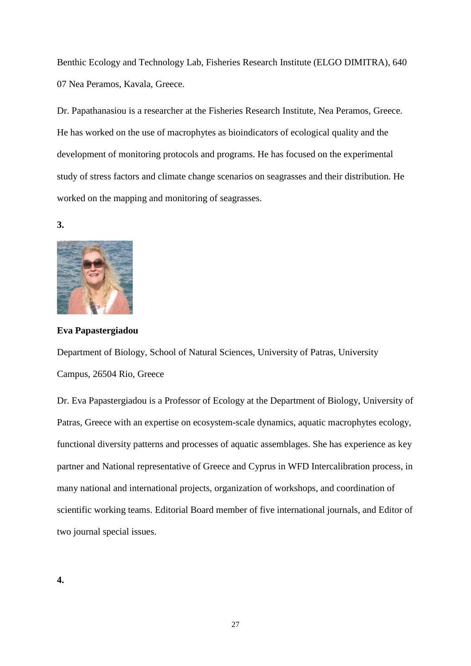Benthic Ecology and Technology Lab, Fisheries Research Institute (ELGO DIMITRA), 640 07 Nea Peramos, Kavala, Greece.

Dr. Papathanasiou is a researcher at the Fisheries Research Institute, Nea Peramos, Greece. He has worked on the use of macrophytes as bioindicators of ecological quality and the development of monitoring protocols and programs. He has focused on the experimental study of stress factors and climate change scenarios on seagrasses and their distribution. He worked on the mapping and monitoring of seagrasses.

**3.** 



**Eva Papastergiadou**

Department of Biology, School of Natural Sciences, University of Patras, University Campus, 26504 Rio, Greece

Dr. Eva Papastergiadou is a Professor of Ecology at the Department of Biology, University of Patras, Greece with an expertise on ecosystem-scale dynamics, aquatic macrophytes ecology, functional diversity patterns and processes of aquatic assemblages. She has experience as key partner and National representative of Greece and Cyprus in WFD Intercalibration process, in many national and international projects, organization of workshops, and coordination of scientific working teams. Editorial Board member of five international journals, and Editor of two journal special issues.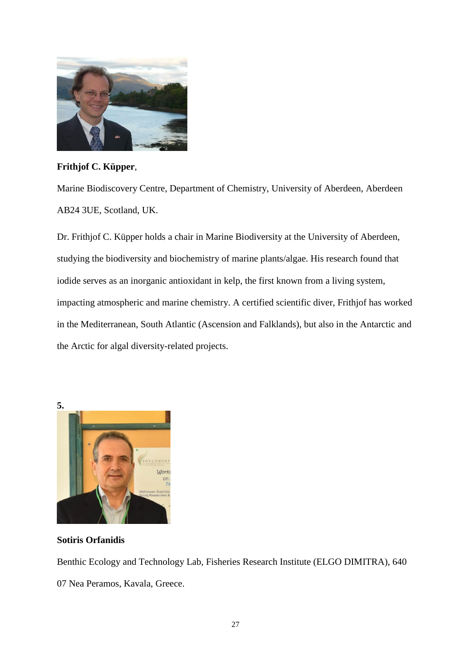

**Frithjof C. Küpper**,

Marine Biodiscovery Centre, Department of Chemistry, University of Aberdeen, Aberdeen AB24 3UE, Scotland, UK.

Dr. Frithjof C. Küpper holds a chair in Marine Biodiversity at the University of Aberdeen, studying the biodiversity and biochemistry of marine plants/algae. His research found that iodide serves as an inorganic antioxidant in kelp, the first known from a living system, impacting atmospheric and marine chemistry. A certified scientific diver, Frithjof has worked in the Mediterranean, South Atlantic (Ascension and Falklands), but also in the Antarctic and the Arctic for algal diversity-related projects.



**Sotiris Orfanidis**

Benthic Ecology and Technology Lab, Fisheries Research Institute (ELGO DIMITRA), 640 07 Nea Peramos, Kavala, Greece.